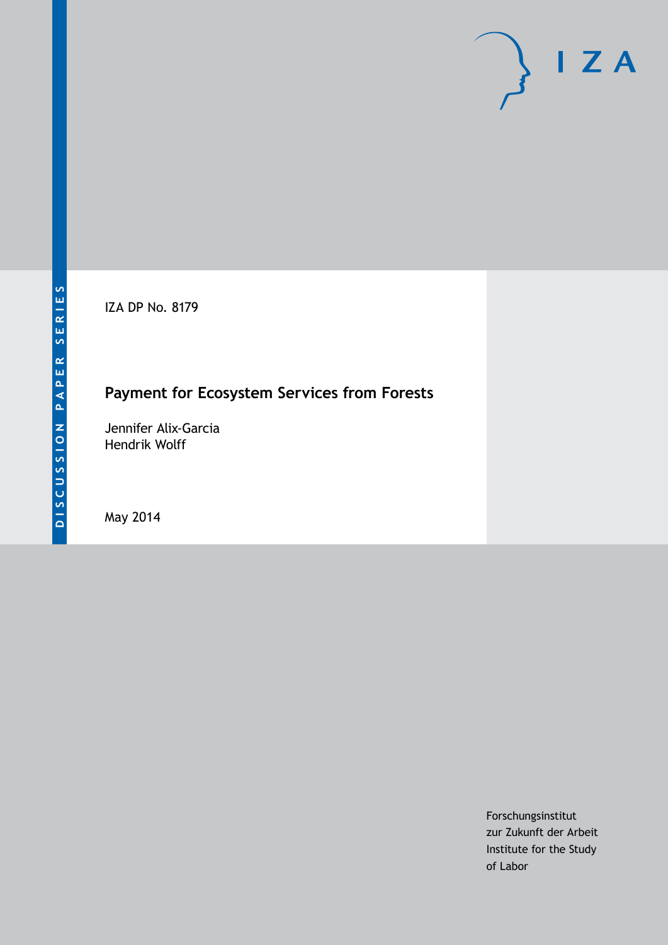IZA DP No. 8179

## **Payment for Ecosystem Services from Forests**

Jennifer Alix-Garcia Hendrik Wolff

May 2014

Forschungsinstitut zur Zukunft der Arbeit Institute for the Study of Labor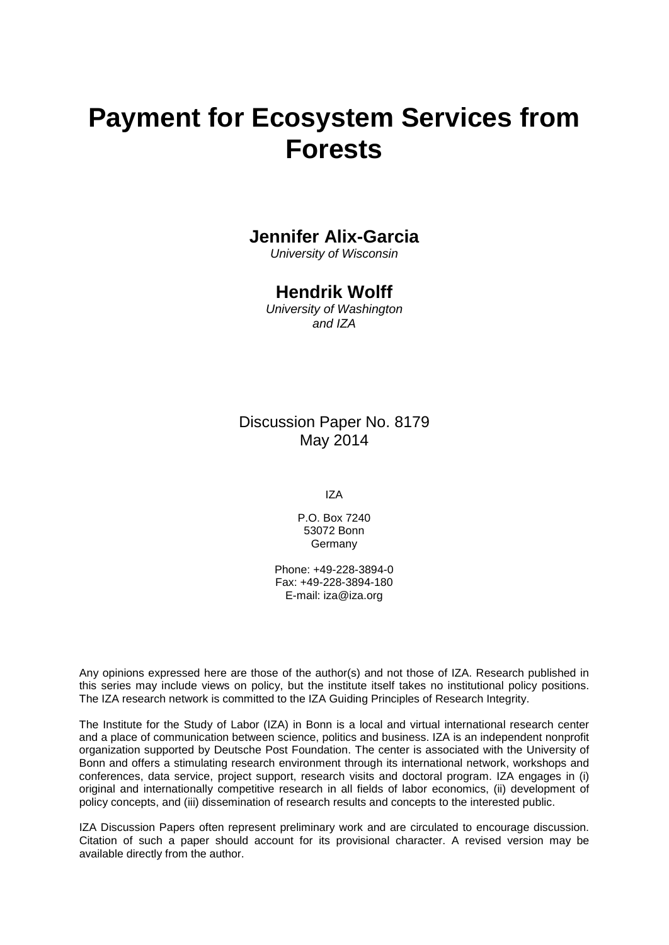# **Payment for Ecosystem Services from Forests**

## **Jennifer Alix-Garcia**

*University of Wisconsin*

## **Hendrik Wolff**

*University of Washington and IZA*

## Discussion Paper No. 8179 May 2014

IZA

P.O. Box 7240 53072 Bonn Germany

Phone: +49-228-3894-0 Fax: +49-228-3894-180 E-mail: [iza@iza.org](mailto:iza@iza.org)

Any opinions expressed here are those of the author(s) and not those of IZA. Research published in this series may include views on policy, but the institute itself takes no institutional policy positions. The IZA research network is committed to the IZA Guiding Principles of Research Integrity.

The Institute for the Study of Labor (IZA) in Bonn is a local and virtual international research center and a place of communication between science, politics and business. IZA is an independent nonprofit organization supported by Deutsche Post Foundation. The center is associated with the University of Bonn and offers a stimulating research environment through its international network, workshops and conferences, data service, project support, research visits and doctoral program. IZA engages in (i) original and internationally competitive research in all fields of labor economics, (ii) development of policy concepts, and (iii) dissemination of research results and concepts to the interested public.

<span id="page-1-0"></span>IZA Discussion Papers often represent preliminary work and are circulated to encourage discussion. Citation of such a paper should account for its provisional character. A revised version may be available directly from the author.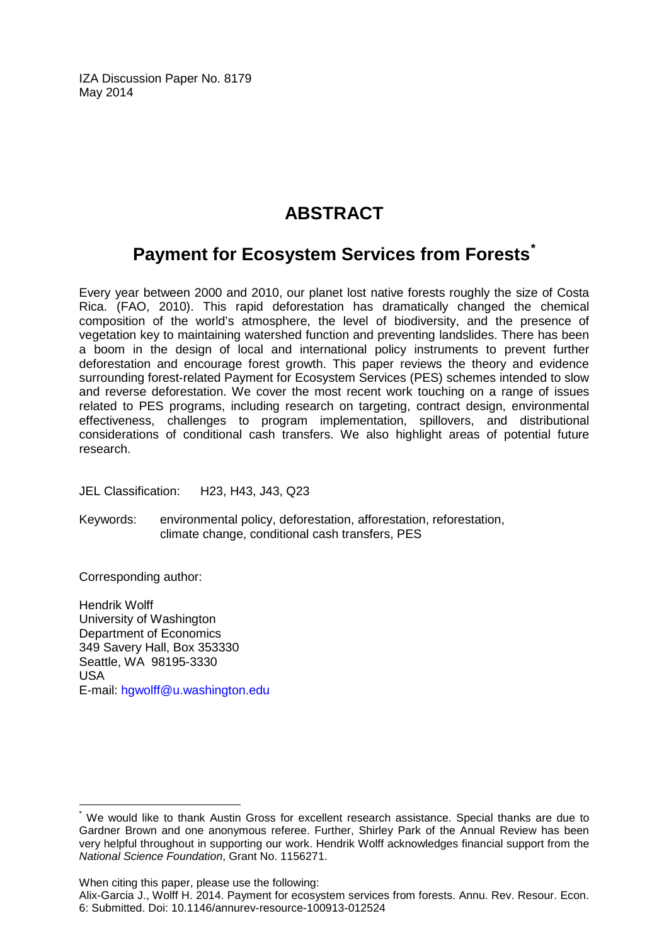IZA Discussion Paper No. 8179 May 2014

## **ABSTRACT**

## **Payment for Ecosystem Services from Forests[\\*](#page-1-0)**

Every year between 2000 and 2010, our planet lost native forests roughly the size of Costa Rica. (FAO, 2010). This rapid deforestation has dramatically changed the chemical composition of the world's atmosphere, the level of biodiversity, and the presence of vegetation key to maintaining watershed function and preventing landslides. There has been a boom in the design of local and international policy instruments to prevent further deforestation and encourage forest growth. This paper reviews the theory and evidence surrounding forest-related Payment for Ecosystem Services (PES) schemes intended to slow and reverse deforestation. We cover the most recent work touching on a range of issues related to PES programs, including research on targeting, contract design, environmental effectiveness, challenges to program implementation, spillovers, and distributional considerations of conditional cash transfers. We also highlight areas of potential future research.

JEL Classification: H23, H43, J43, Q23

Keywords: environmental policy, deforestation, afforestation, reforestation, climate change, conditional cash transfers, PES

Corresponding author:

Hendrik Wolff University of Washington Department of Economics 349 Savery Hall, Box 353330 Seattle, WA 98195-3330 USA E-mail: [hgwolff@u.washington.edu](mailto:hgwolff@u.washington.edu)

When citing this paper, please use the following:

We would like to thank Austin Gross for excellent research assistance. Special thanks are due to Gardner Brown and one anonymous referee. Further, Shirley Park of the Annual Review has been very helpful throughout in supporting our work. Hendrik Wolff acknowledges financial support from the *National Science Foundation*, Grant No. 1156271.

Alix-Garcia J., Wolff H. 2014. Payment for ecosystem services from forests. Annu. Rev. Resour. Econ. 6: Submitted. Doi: 10.1146/annurev-resource-100913-012524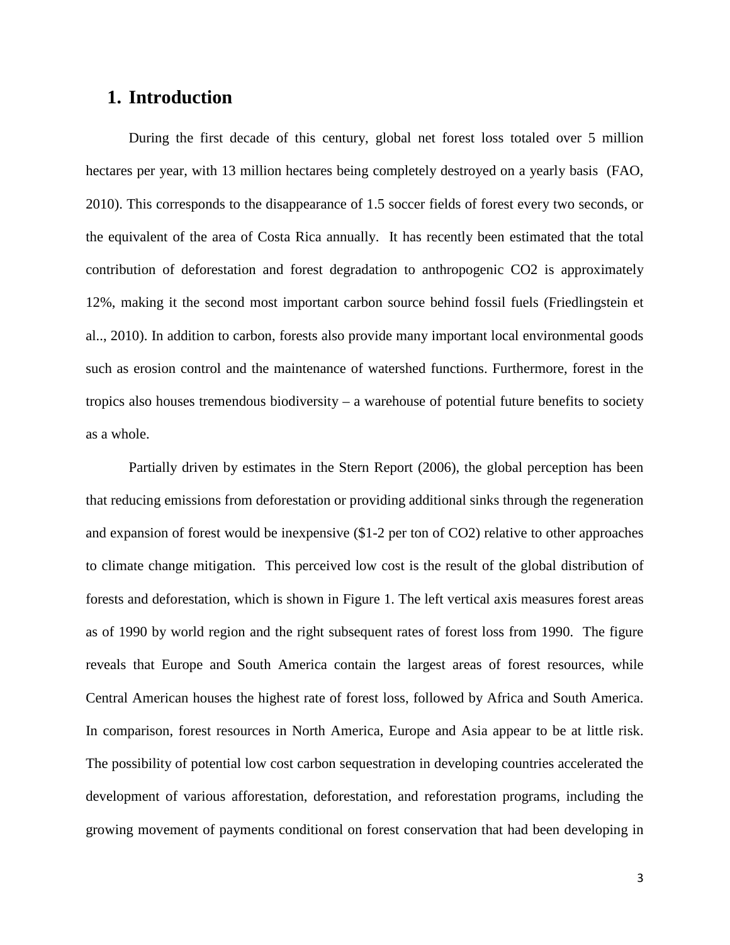## **1. Introduction**

During the first decade of this century, global net forest loss totaled over 5 million hectares per year, with 13 million hectares being completely destroyed on a yearly basis (FAO, 2010). This corresponds to the disappearance of 1.5 soccer fields of forest every two seconds, or the equivalent of the area of Costa Rica annually. It has recently been estimated that the total contribution of deforestation and forest degradation to anthropogenic CO2 is approximately 12%, making it the second most important carbon source behind fossil fuels (Friedlingstein et al.., 2010). In addition to carbon, forests also provide many important local environmental goods such as erosion control and the maintenance of watershed functions. Furthermore, forest in the tropics also houses tremendous biodiversity – a warehouse of potential future benefits to society as a whole.

Partially driven by estimates in the Stern Report (2006), the global perception has been that reducing emissions from deforestation or providing additional sinks through the regeneration and expansion of forest would be inexpensive (\$1-2 per ton of CO2) relative to other approaches to climate change mitigation. This perceived low cost is the result of the global distribution of forests and deforestation, which is shown in Figure 1. The left vertical axis measures forest areas as of 1990 by world region and the right subsequent rates of forest loss from 1990. The figure reveals that Europe and South America contain the largest areas of forest resources, while Central American houses the highest rate of forest loss, followed by Africa and South America. In comparison, forest resources in North America, Europe and Asia appear to be at little risk. The possibility of potential low cost carbon sequestration in developing countries accelerated the development of various afforestation, deforestation, and reforestation programs, including the growing movement of payments conditional on forest conservation that had been developing in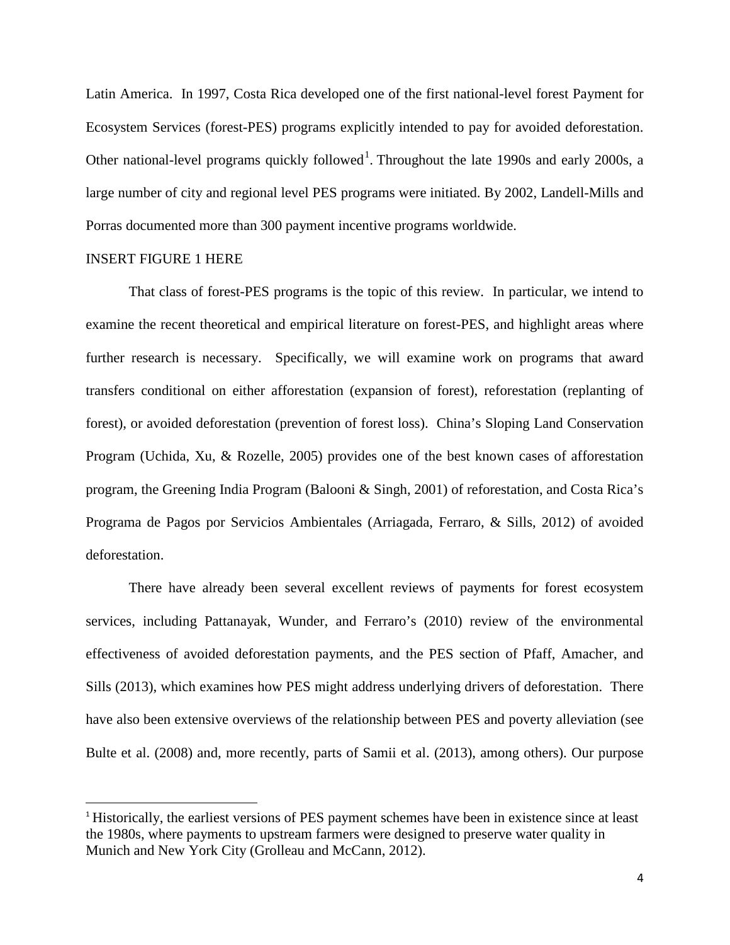Latin America. In 1997, Costa Rica developed one of the first national-level forest Payment for Ecosystem Services (forest-PES) programs explicitly intended to pay for avoided deforestation. Other national-level programs quickly followed<sup>1</sup>. Throughout the late 1990s and early 2000s, a large number of city and regional level PES programs were initiated. By 2002, Landell-Mills and Porras documented more than 300 payment incentive programs worldwide.

#### INSERT FIGURE 1 HERE

l

That class of forest-PES programs is the topic of this review. In particular, we intend to examine the recent theoretical and empirical literature on forest-PES, and highlight areas where further research is necessary. Specifically, we will examine work on programs that award transfers conditional on either afforestation (expansion of forest), reforestation (replanting of forest), or avoided deforestation (prevention of forest loss). China's Sloping Land Conservation Program (Uchida, Xu, & Rozelle, 2005) provides one of the best known cases of afforestation program, the Greening India Program (Balooni & Singh, 2001) of reforestation, and Costa Rica's Programa de Pagos por Servicios Ambientales (Arriagada, Ferraro, & Sills, 2012) of avoided deforestation.

There have already been several excellent reviews of payments for forest ecosystem services, including Pattanayak, Wunder, and Ferraro's (2010) review of the environmental effectiveness of avoided deforestation payments, and the PES section of Pfaff, Amacher, and Sills (2013), which examines how PES might address underlying drivers of deforestation. There have also been extensive overviews of the relationship between PES and poverty alleviation (see Bulte et al. (2008) and, more recently, parts of Samii et al. (2013), among others). Our purpose

<sup>&</sup>lt;sup>1</sup> Historically, the earliest versions of PES payment schemes have been in existence since at least the 1980s, where payments to upstream farmers were designed to preserve water quality in Munich and New York City (Grolleau and McCann, 2012).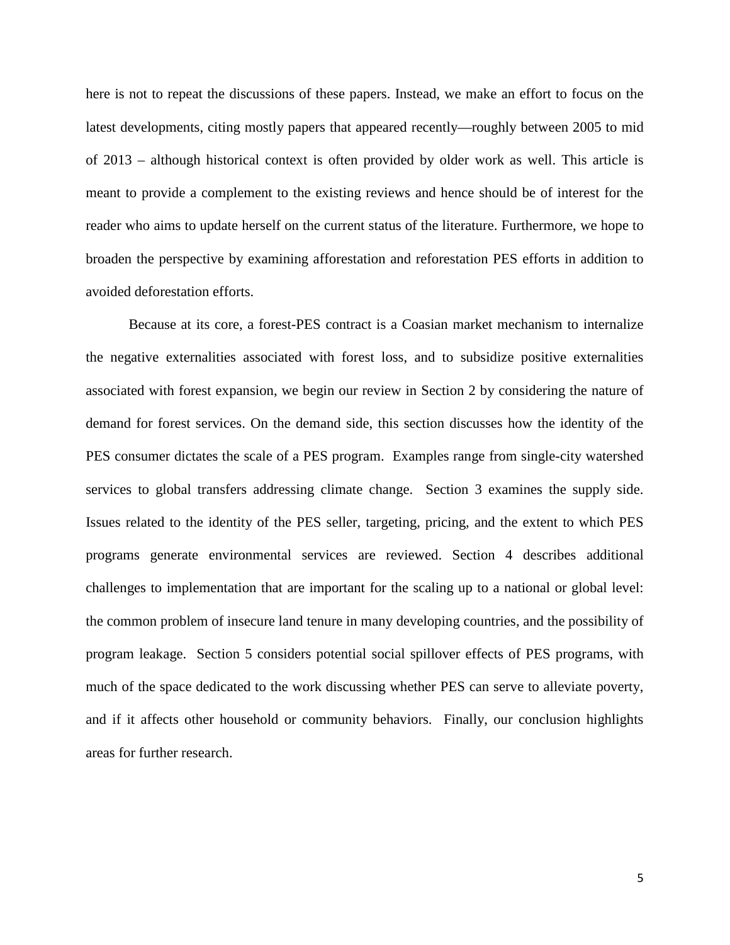here is not to repeat the discussions of these papers. Instead, we make an effort to focus on the latest developments, citing mostly papers that appeared recently—roughly between 2005 to mid of 2013 – although historical context is often provided by older work as well. This article is meant to provide a complement to the existing reviews and hence should be of interest for the reader who aims to update herself on the current status of the literature. Furthermore, we hope to broaden the perspective by examining afforestation and reforestation PES efforts in addition to avoided deforestation efforts.

Because at its core, a forest-PES contract is a Coasian market mechanism to internalize the negative externalities associated with forest loss, and to subsidize positive externalities associated with forest expansion, we begin our review in Section 2 by considering the nature of demand for forest services. On the demand side, this section discusses how the identity of the PES consumer dictates the scale of a PES program. Examples range from single-city watershed services to global transfers addressing climate change. Section 3 examines the supply side. Issues related to the identity of the PES seller, targeting, pricing, and the extent to which PES programs generate environmental services are reviewed. Section 4 describes additional challenges to implementation that are important for the scaling up to a national or global level: the common problem of insecure land tenure in many developing countries, and the possibility of program leakage. Section 5 considers potential social spillover effects of PES programs, with much of the space dedicated to the work discussing whether PES can serve to alleviate poverty, and if it affects other household or community behaviors. Finally, our conclusion highlights areas for further research.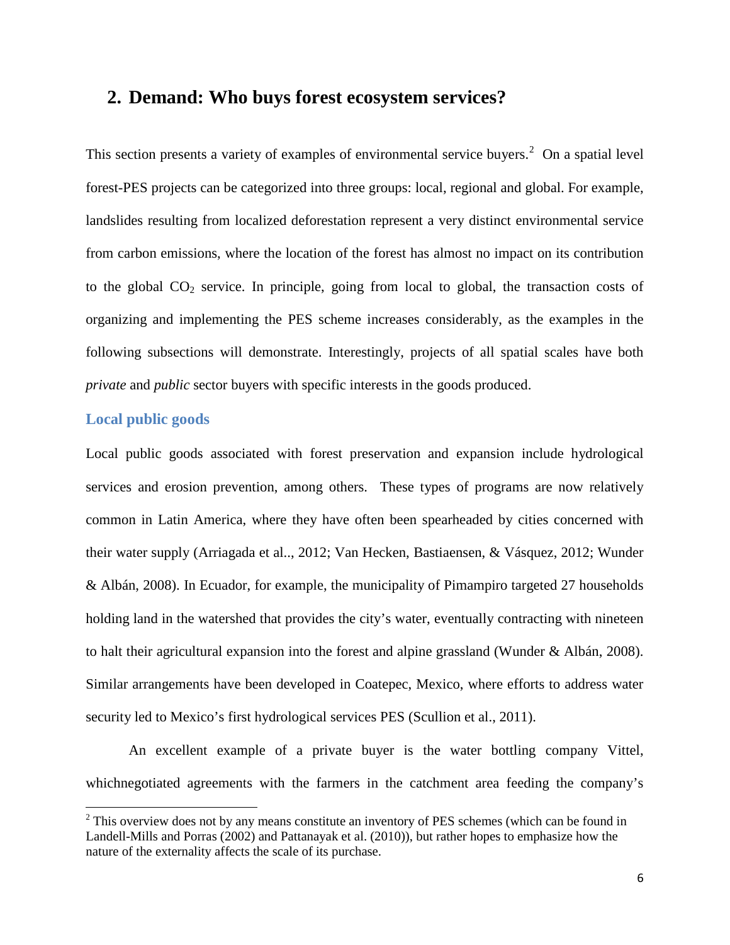## **2. Demand: Who buys forest ecosystem services?**

This section presents a variety of examples of environmental service buyers.<sup>[2](#page-6-0)</sup> On a spatial level forest-PES projects can be categorized into three groups: local, regional and global. For example, landslides resulting from localized deforestation represent a very distinct environmental service from carbon emissions, where the location of the forest has almost no impact on its contribution to the global  $CO<sub>2</sub>$  service. In principle, going from local to global, the transaction costs of organizing and implementing the PES scheme increases considerably, as the examples in the following subsections will demonstrate. Interestingly, projects of all spatial scales have both *private* and *public* sector buyers with specific interests in the goods produced.

#### **Local public goods**

 $\overline{\phantom{a}}$ 

Local public goods associated with forest preservation and expansion include hydrological services and erosion prevention, among others. These types of programs are now relatively common in Latin America, where they have often been spearheaded by cities concerned with their water supply (Arriagada et al.., 2012; Van Hecken, Bastiaensen, & Vásquez, 2012; Wunder & Albán, 2008). In Ecuador, for example, the municipality of Pimampiro targeted 27 households holding land in the watershed that provides the city's water, eventually contracting with nineteen to halt their agricultural expansion into the forest and alpine grassland (Wunder & Albán, 2008). Similar arrangements have been developed in Coatepec, Mexico, where efforts to address water security led to Mexico's first hydrological services PES (Scullion et al., 2011).

An excellent example of a private buyer is the water bottling company Vittel, whichnegotiated agreements with the farmers in the catchment area feeding the company's

<span id="page-6-0"></span> $2$  This overview does not by any means constitute an inventory of PES schemes (which can be found in Landell-Mills and Porras (2002) and Pattanayak et al. (2010)), but rather hopes to emphasize how the nature of the externality affects the scale of its purchase.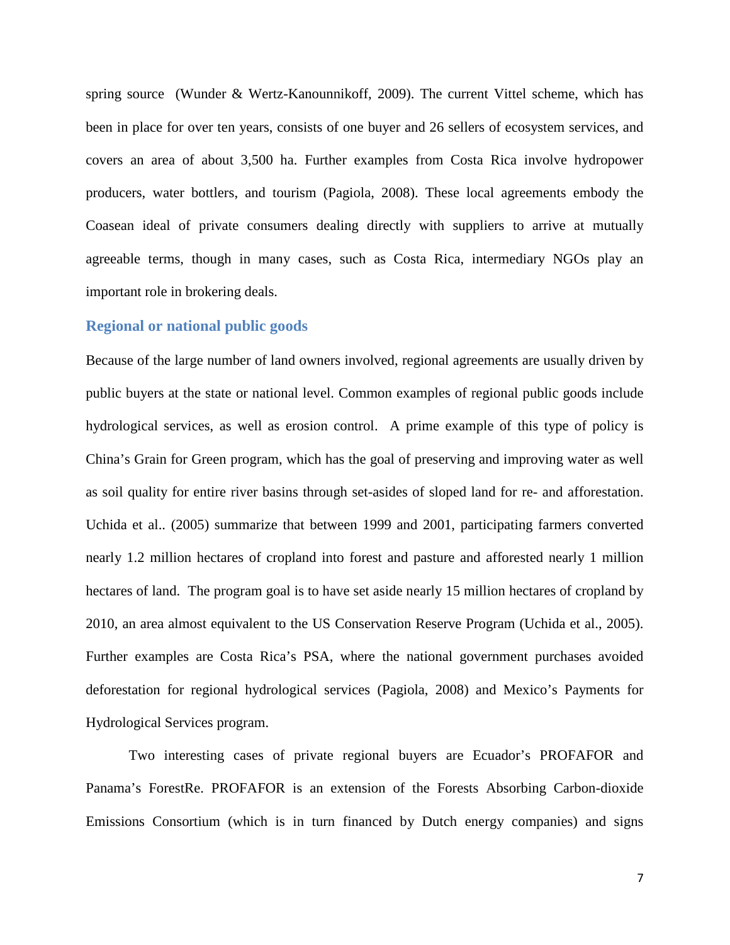spring source (Wunder & Wertz-Kanounnikoff, 2009). The current Vittel scheme, which has been in place for over ten years, consists of one buyer and 26 sellers of ecosystem services, and covers an area of about 3,500 ha. Further examples from Costa Rica involve hydropower producers, water bottlers, and tourism (Pagiola, 2008). These local agreements embody the Coasean ideal of private consumers dealing directly with suppliers to arrive at mutually agreeable terms, though in many cases, such as Costa Rica, intermediary NGOs play an important role in brokering deals.

#### **Regional or national public goods**

Because of the large number of land owners involved, regional agreements are usually driven by public buyers at the state or national level. Common examples of regional public goods include hydrological services, as well as erosion control. A prime example of this type of policy is China's Grain for Green program, which has the goal of preserving and improving water as well as soil quality for entire river basins through set-asides of sloped land for re- and afforestation. Uchida et al.. (2005) summarize that between 1999 and 2001, participating farmers converted nearly 1.2 million hectares of cropland into forest and pasture and afforested nearly 1 million hectares of land. The program goal is to have set aside nearly 15 million hectares of cropland by 2010, an area almost equivalent to the US Conservation Reserve Program (Uchida et al., 2005). Further examples are Costa Rica's PSA, where the national government purchases avoided deforestation for regional hydrological services (Pagiola, 2008) and Mexico's Payments for Hydrological Services program.

Two interesting cases of private regional buyers are Ecuador's PROFAFOR and Panama's ForestRe. PROFAFOR is an extension of the Forests Absorbing Carbon-dioxide Emissions Consortium (which is in turn financed by Dutch energy companies) and signs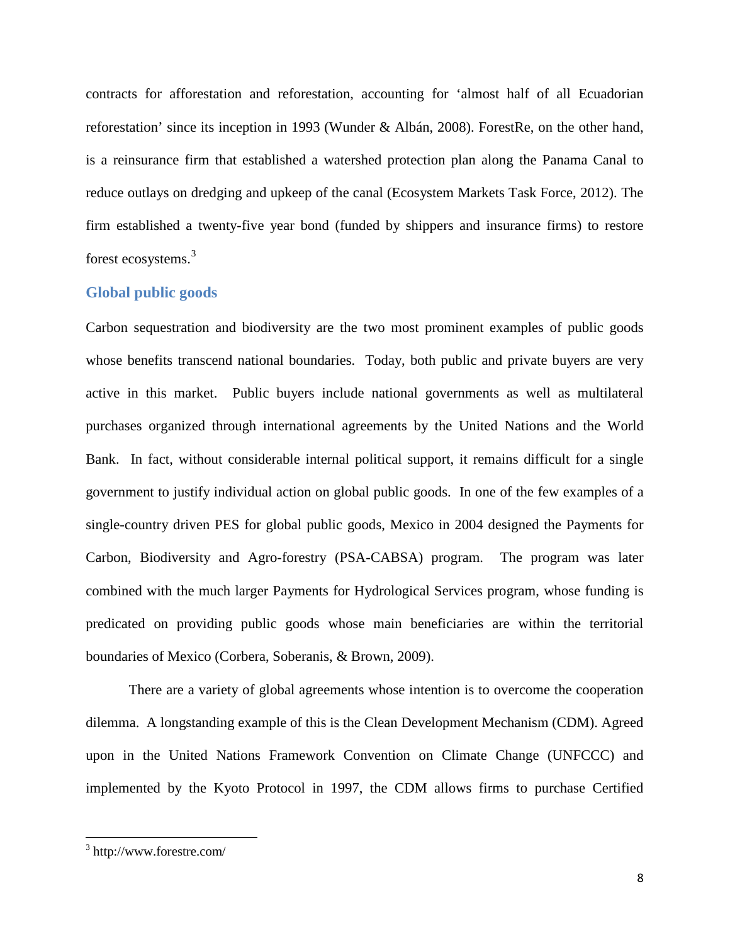contracts for afforestation and reforestation, accounting for 'almost half of all Ecuadorian reforestation' since its inception in 1993 (Wunder & Albán, 2008). ForestRe, on the other hand, is a reinsurance firm that established a watershed protection plan along the Panama Canal to reduce outlays on dredging and upkeep of the canal (Ecosystem Markets Task Force, 2012). The firm established a twenty-five year bond (funded by shippers and insurance firms) to restore forest ecosystems.[3](#page-8-0)

#### **Global public goods**

Carbon sequestration and biodiversity are the two most prominent examples of public goods whose benefits transcend national boundaries. Today, both public and private buyers are very active in this market. Public buyers include national governments as well as multilateral purchases organized through international agreements by the United Nations and the World Bank. In fact, without considerable internal political support, it remains difficult for a single government to justify individual action on global public goods. In one of the few examples of a single-country driven PES for global public goods, Mexico in 2004 designed the Payments for Carbon, Biodiversity and Agro-forestry (PSA-CABSA) program. The program was later combined with the much larger Payments for Hydrological Services program, whose funding is predicated on providing public goods whose main beneficiaries are within the territorial boundaries of Mexico (Corbera, Soberanis, & Brown, 2009).

There are a variety of global agreements whose intention is to overcome the cooperation dilemma. A longstanding example of this is the Clean Development Mechanism (CDM). Agreed upon in the United Nations Framework Convention on Climate Change (UNFCCC) and implemented by the Kyoto Protocol in 1997, the CDM allows firms to purchase Certified

<span id="page-8-0"></span><sup>3</sup> http://www.forestre.com/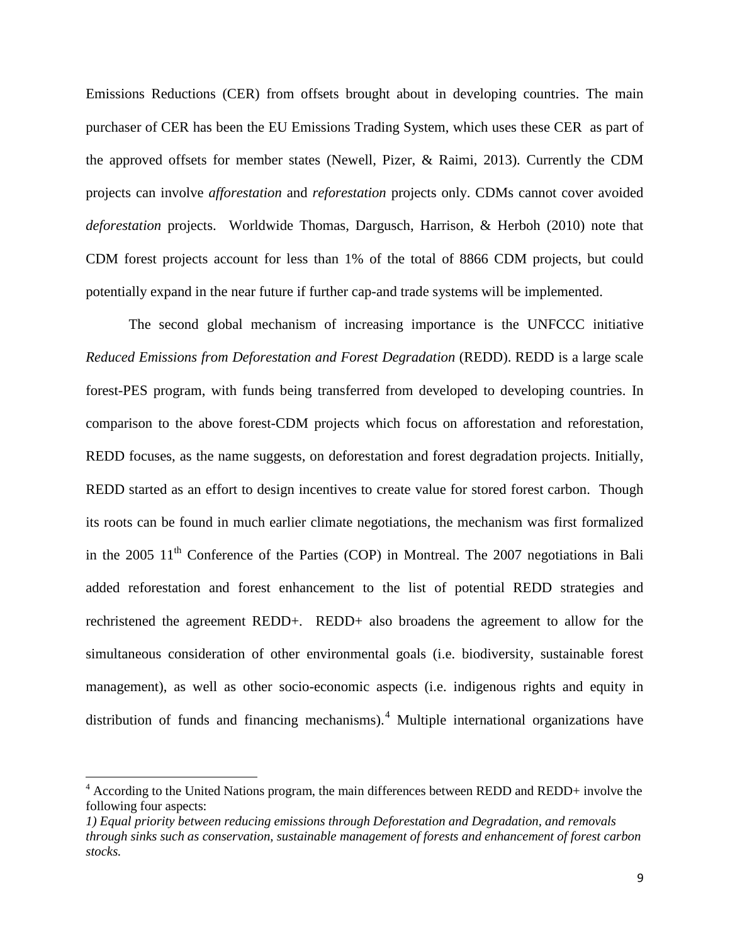Emissions Reductions (CER) from offsets brought about in developing countries. The main purchaser of CER has been the EU Emissions Trading System, which uses these CER as part of the approved offsets for member states (Newell, Pizer, & Raimi, 2013). Currently the CDM projects can involve *afforestation* and *reforestation* projects only. CDMs cannot cover avoided *deforestation* projects. Worldwide Thomas, Dargusch, Harrison, & Herboh (2010) note that CDM forest projects account for less than 1% of the total of 8866 CDM projects, but could potentially expand in the near future if further cap-and trade systems will be implemented.

The second global mechanism of increasing importance is the UNFCCC initiative *Reduced Emissions from Deforestation and Forest Degradation* (REDD). REDD is a large scale forest-PES program, with funds being transferred from developed to developing countries. In comparison to the above forest-CDM projects which focus on afforestation and reforestation, REDD focuses, as the name suggests, on deforestation and forest degradation projects. Initially, REDD started as an effort to design incentives to create value for stored forest carbon. Though its roots can be found in much earlier climate negotiations, the mechanism was first formalized in the 2005  $11<sup>th</sup>$  Conference of the Parties (COP) in Montreal. The 2007 negotiations in Bali added reforestation and forest enhancement to the list of potential REDD strategies and rechristened the agreement REDD+. REDD+ also broadens the agreement to allow for the simultaneous consideration of other environmental goals (i.e. biodiversity, sustainable forest management), as well as other socio-economic aspects (i.e. indigenous rights and equity in distribution of funds and financing mechanisms).<sup>[4](#page-9-0)</sup> Multiple international organizations have

<span id="page-9-0"></span> $4$  According to the United Nations program, the main differences between REDD and REDD+ involve the following four aspects:

*<sup>1)</sup> Equal priority between reducing emissions through Deforestation and Degradation, and removals through sinks such as conservation, sustainable management of forests and enhancement of forest carbon stocks.*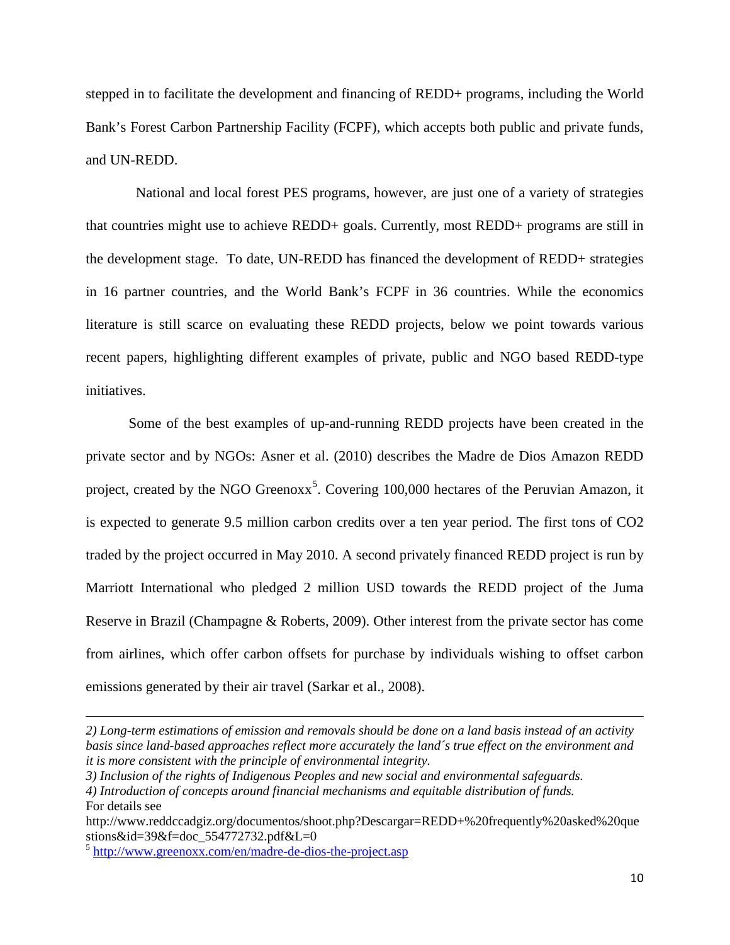stepped in to facilitate the development and financing of REDD+ programs, including the World Bank's Forest Carbon Partnership Facility (FCPF), which accepts both public and private funds, and UN-REDD.

National and local forest PES programs, however, are just one of a variety of strategies that countries might use to achieve REDD+ goals. Currently, most REDD+ programs are still in the development stage. To date, UN-REDD has financed the development of REDD+ strategies in 16 partner countries, and the World Bank's FCPF in 36 countries. While the economics literature is still scarce on evaluating these REDD projects, below we point towards various recent papers, highlighting different examples of private, public and NGO based REDD-type initiatives.

Some of the best examples of up-and-running REDD projects have been created in the private sector and by NGOs: Asner et al. (2010) describes the Madre de Dios Amazon REDD project, created by the NGO Greenoxx<sup>[5](#page-10-0)</sup>. Covering 100,000 hectares of the Peruvian Amazon, it is expected to generate 9.5 million carbon credits over a ten year period. The first tons of CO2 traded by the project occurred in May 2010. A second privately financed REDD project is run by Marriott International who pledged 2 million USD towards the REDD project of the Juma Reserve in Brazil (Champagne & Roberts, 2009). Other interest from the private sector has come from airlines, which offer carbon offsets for purchase by individuals wishing to offset carbon emissions generated by their air travel (Sarkar et al., 2008).

*<sup>2)</sup> Long-term estimations of emission and removals should be done on a land basis instead of an activity basis since land-based approaches reflect more accurately the land´s true effect on the environment and it is more consistent with the principle of environmental integrity.*

*<sup>3)</sup> Inclusion of the rights of Indigenous Peoples and new social and environmental safeguards.*

*<sup>4)</sup> Introduction of concepts around financial mechanisms and equitable distribution of funds.* For details see

http://www.reddccadgiz.org/documentos/shoot.php?Descargar=REDD+%20frequently%20asked%20que stions $&i d=39&f=doc$  554772732.pdf $&L=0$ 

<span id="page-10-0"></span><sup>5</sup> <http://www.greenoxx.com/en/madre-de-dios-the-project.asp>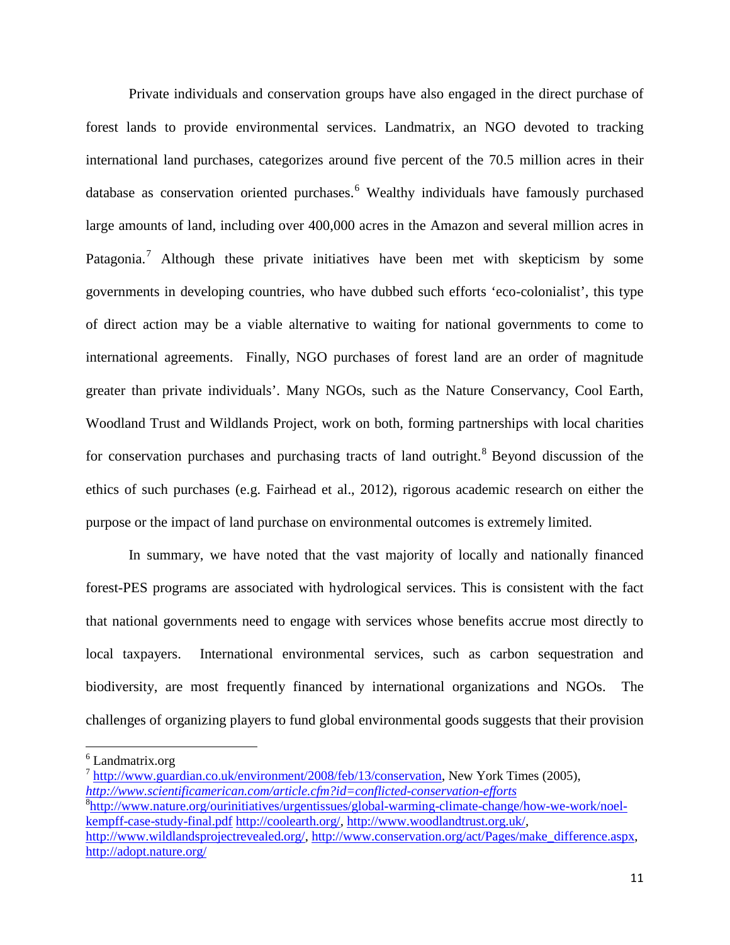Private individuals and conservation groups have also engaged in the direct purchase of forest lands to provide environmental services. Landmatrix, an NGO devoted to tracking international land purchases, categorizes around five percent of the 70.5 million acres in their database as conservation oriented purchases. [6](#page-11-0) Wealthy individuals have famously purchased large amounts of land, including over 400,000 acres in the Amazon and several million acres in Patagonia.<sup>[7](#page-11-1)</sup> Although these private initiatives have been met with skepticism by some governments in developing countries, who have dubbed such efforts 'eco-colonialist', this type of direct action may be a viable alternative to waiting for national governments to come to international agreements. Finally, NGO purchases of forest land are an order of magnitude greater than private individuals'. Many NGOs, such as the Nature Conservancy, Cool Earth, Woodland Trust and Wildlands Project, work on both, forming partnerships with local charities for conservation purchases and purchasing tracts of land outright.<sup>[8](#page-11-2)</sup> Beyond discussion of the ethics of such purchases (e.g. Fairhead et al., 2012), rigorous academic research on either the purpose or the impact of land purchase on environmental outcomes is extremely limited.

In summary, we have noted that the vast majority of locally and nationally financed forest-PES programs are associated with hydrological services. This is consistent with the fact that national governments need to engage with services whose benefits accrue most directly to local taxpayers. International environmental services, such as carbon sequestration and biodiversity, are most frequently financed by international organizations and NGOs. The challenges of organizing players to fund global environmental goods suggests that their provision

 $\overline{\phantom{a}}$ 

<span id="page-11-0"></span> $6$  Landmatrix.org

<span id="page-11-1"></span> $^7$  [http://www.guardian.co.uk/environment/2008/feb/13/conservation,](http://www.guardian.co.uk/environment/2008/feb/13/conservation) New York Times (2005), *<http://www.scientificamerican.com/article.cfm?id=conflicted-conservation-efforts>*

<span id="page-11-2"></span><sup>8</sup> [http://www.nature.org/ourinitiatives/urgentissues/global-warming-climate-change/how-we-work/noel](http://www.nature.org/ourinitiatives/urgentissues/global-warming-climate-change/how-we-work/noel-kempff-case-study-final.pdf)[kempff-case-study-final.pdf](http://www.nature.org/ourinitiatives/urgentissues/global-warming-climate-change/how-we-work/noel-kempff-case-study-final.pdf) [http://coolearth.org/,](http://coolearth.org/) [http://www.woodlandtrust.org.uk/,](http://www.woodlandtrust.org.uk/)

[http://www.wildlandsprojectrevealed.org/,](http://www.wildlandsprojectrevealed.org/) [http://www.conservation.org/act/Pages/make\\_difference.aspx,](http://www.conservation.org/act/Pages/make_difference.aspx) <http://adopt.nature.org/>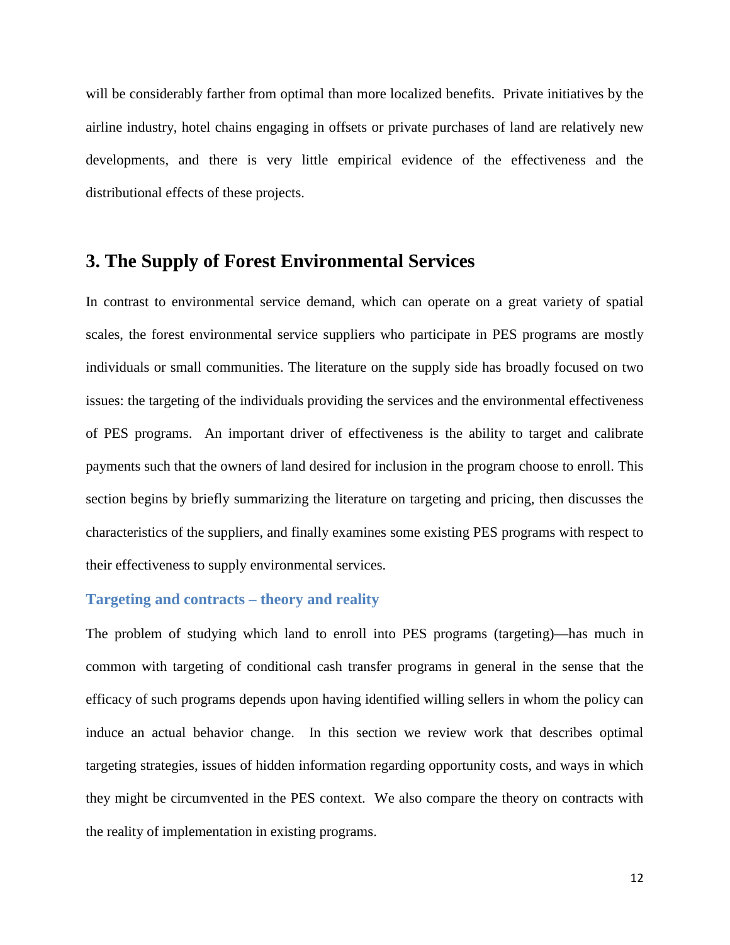will be considerably farther from optimal than more localized benefits. Private initiatives by the airline industry, hotel chains engaging in offsets or private purchases of land are relatively new developments, and there is very little empirical evidence of the effectiveness and the distributional effects of these projects.

## **3. The Supply of Forest Environmental Services**

In contrast to environmental service demand, which can operate on a great variety of spatial scales, the forest environmental service suppliers who participate in PES programs are mostly individuals or small communities. The literature on the supply side has broadly focused on two issues: the targeting of the individuals providing the services and the environmental effectiveness of PES programs. An important driver of effectiveness is the ability to target and calibrate payments such that the owners of land desired for inclusion in the program choose to enroll. This section begins by briefly summarizing the literature on targeting and pricing, then discusses the characteristics of the suppliers, and finally examines some existing PES programs with respect to their effectiveness to supply environmental services.

#### **Targeting and contracts – theory and reality**

The problem of studying which land to enroll into PES programs (targeting)—has much in common with targeting of conditional cash transfer programs in general in the sense that the efficacy of such programs depends upon having identified willing sellers in whom the policy can induce an actual behavior change. In this section we review work that describes optimal targeting strategies, issues of hidden information regarding opportunity costs, and ways in which they might be circumvented in the PES context. We also compare the theory on contracts with the reality of implementation in existing programs.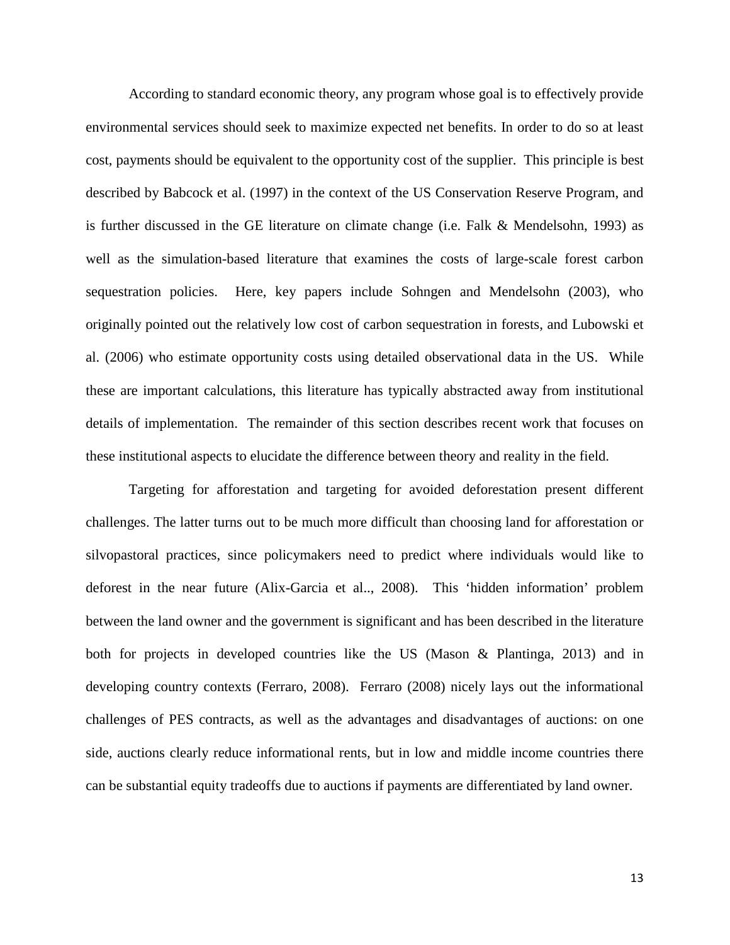According to standard economic theory, any program whose goal is to effectively provide environmental services should seek to maximize expected net benefits. In order to do so at least cost, payments should be equivalent to the opportunity cost of the supplier. This principle is best described by Babcock et al. (1997) in the context of the US Conservation Reserve Program, and is further discussed in the GE literature on climate change (i.e. Falk & Mendelsohn, 1993) as well as the simulation-based literature that examines the costs of large-scale forest carbon sequestration policies. Here, key papers include Sohngen and Mendelsohn (2003), who originally pointed out the relatively low cost of carbon sequestration in forests, and Lubowski et al. (2006) who estimate opportunity costs using detailed observational data in the US. While these are important calculations, this literature has typically abstracted away from institutional details of implementation. The remainder of this section describes recent work that focuses on these institutional aspects to elucidate the difference between theory and reality in the field.

Targeting for afforestation and targeting for avoided deforestation present different challenges. The latter turns out to be much more difficult than choosing land for afforestation or silvopastoral practices, since policymakers need to predict where individuals would like to deforest in the near future (Alix-Garcia et al.., 2008). This 'hidden information' problem between the land owner and the government is significant and has been described in the literature both for projects in developed countries like the US (Mason & Plantinga, 2013) and in developing country contexts (Ferraro, 2008). Ferraro (2008) nicely lays out the informational challenges of PES contracts, as well as the advantages and disadvantages of auctions: on one side, auctions clearly reduce informational rents, but in low and middle income countries there can be substantial equity tradeoffs due to auctions if payments are differentiated by land owner.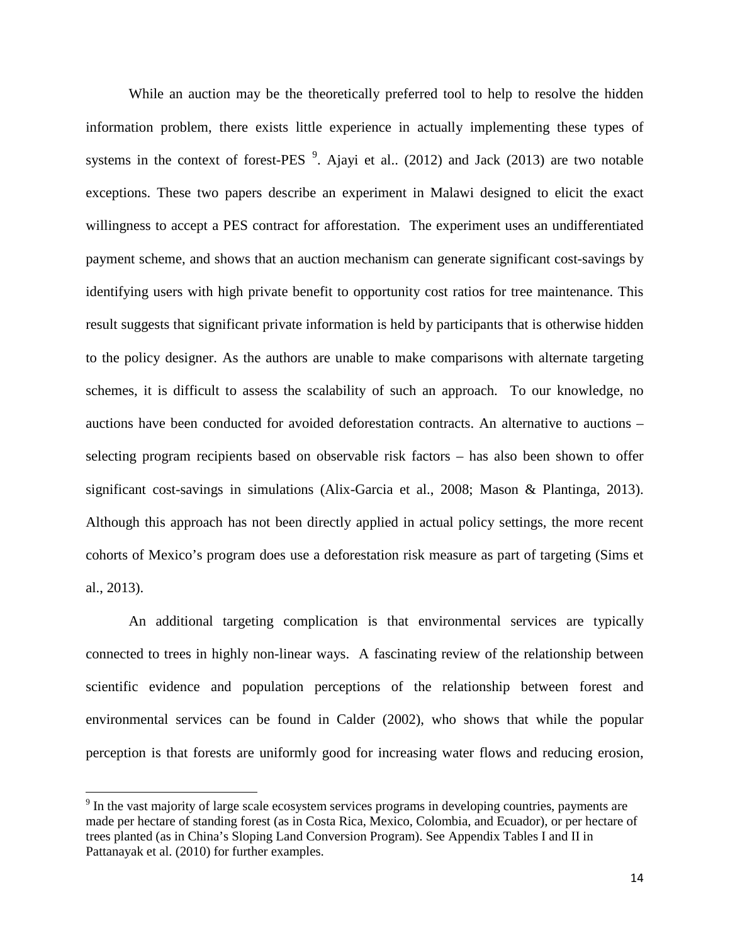While an auction may be the theoretically preferred tool to help to resolve the hidden information problem, there exists little experience in actually implementing these types of systems in the context of forest-PES  $\degree$ . Ajayi et al.. (2012) and Jack (2013) are two notable exceptions. These two papers describe an experiment in Malawi designed to elicit the exact willingness to accept a PES contract for afforestation. The experiment uses an undifferentiated payment scheme, and shows that an auction mechanism can generate significant cost-savings by identifying users with high private benefit to opportunity cost ratios for tree maintenance. This result suggests that significant private information is held by participants that is otherwise hidden to the policy designer. As the authors are unable to make comparisons with alternate targeting schemes, it is difficult to assess the scalability of such an approach. To our knowledge, no auctions have been conducted for avoided deforestation contracts. An alternative to auctions – selecting program recipients based on observable risk factors – has also been shown to offer significant cost-savings in simulations (Alix-Garcia et al., 2008; Mason & Plantinga, 2013). Although this approach has not been directly applied in actual policy settings, the more recent cohorts of Mexico's program does use a deforestation risk measure as part of targeting (Sims et al., 2013).

An additional targeting complication is that environmental services are typically connected to trees in highly non-linear ways. A fascinating review of the relationship between scientific evidence and population perceptions of the relationship between forest and environmental services can be found in Calder (2002), who shows that while the popular perception is that forests are uniformly good for increasing water flows and reducing erosion,

 $\overline{\phantom{a}}$ 

<span id="page-14-0"></span><sup>&</sup>lt;sup>9</sup> In the vast majority of large scale ecosystem services programs in developing countries, payments are made per hectare of standing forest (as in Costa Rica, Mexico, Colombia, and Ecuador), or per hectare of trees planted (as in China's Sloping Land Conversion Program). See Appendix Tables I and II in Pattanayak et al. (2010) for further examples.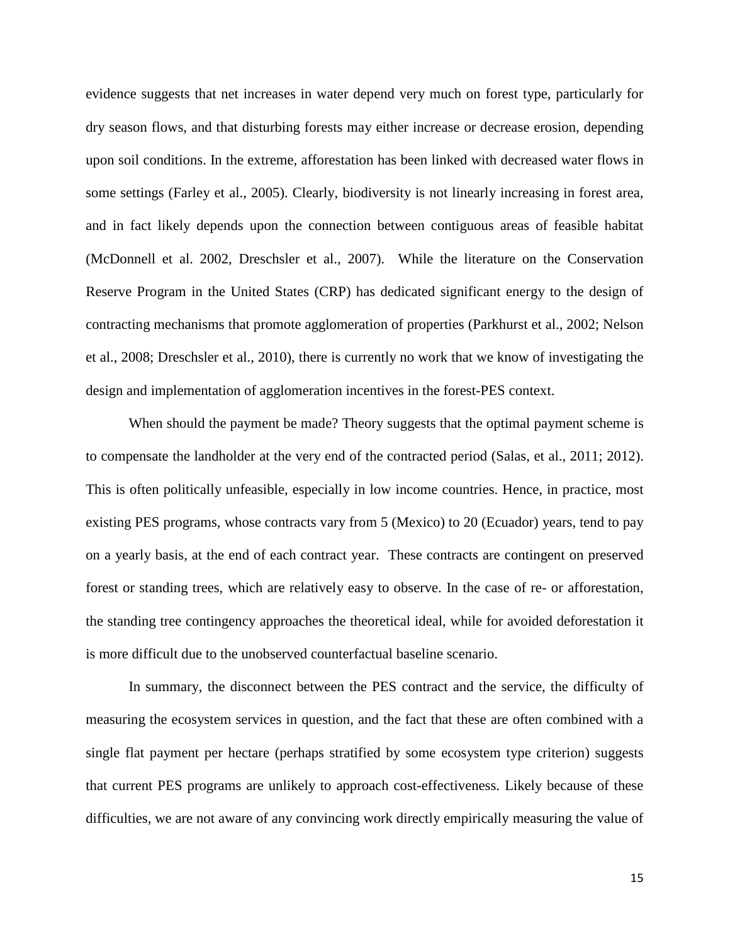evidence suggests that net increases in water depend very much on forest type, particularly for dry season flows, and that disturbing forests may either increase or decrease erosion, depending upon soil conditions. In the extreme, afforestation has been linked with decreased water flows in some settings (Farley et al., 2005). Clearly, biodiversity is not linearly increasing in forest area, and in fact likely depends upon the connection between contiguous areas of feasible habitat (McDonnell et al. 2002, Dreschsler et al., 2007). While the literature on the Conservation Reserve Program in the United States (CRP) has dedicated significant energy to the design of contracting mechanisms that promote agglomeration of properties (Parkhurst et al., 2002; Nelson et al., 2008; Dreschsler et al., 2010), there is currently no work that we know of investigating the design and implementation of agglomeration incentives in the forest-PES context.

When should the payment be made? Theory suggests that the optimal payment scheme is to compensate the landholder at the very end of the contracted period (Salas, et al., 2011; 2012). This is often politically unfeasible, especially in low income countries. Hence, in practice, most existing PES programs, whose contracts vary from 5 (Mexico) to 20 (Ecuador) years, tend to pay on a yearly basis, at the end of each contract year. These contracts are contingent on preserved forest or standing trees, which are relatively easy to observe. In the case of re- or afforestation, the standing tree contingency approaches the theoretical ideal, while for avoided deforestation it is more difficult due to the unobserved counterfactual baseline scenario.

In summary, the disconnect between the PES contract and the service, the difficulty of measuring the ecosystem services in question, and the fact that these are often combined with a single flat payment per hectare (perhaps stratified by some ecosystem type criterion) suggests that current PES programs are unlikely to approach cost-effectiveness. Likely because of these difficulties, we are not aware of any convincing work directly empirically measuring the value of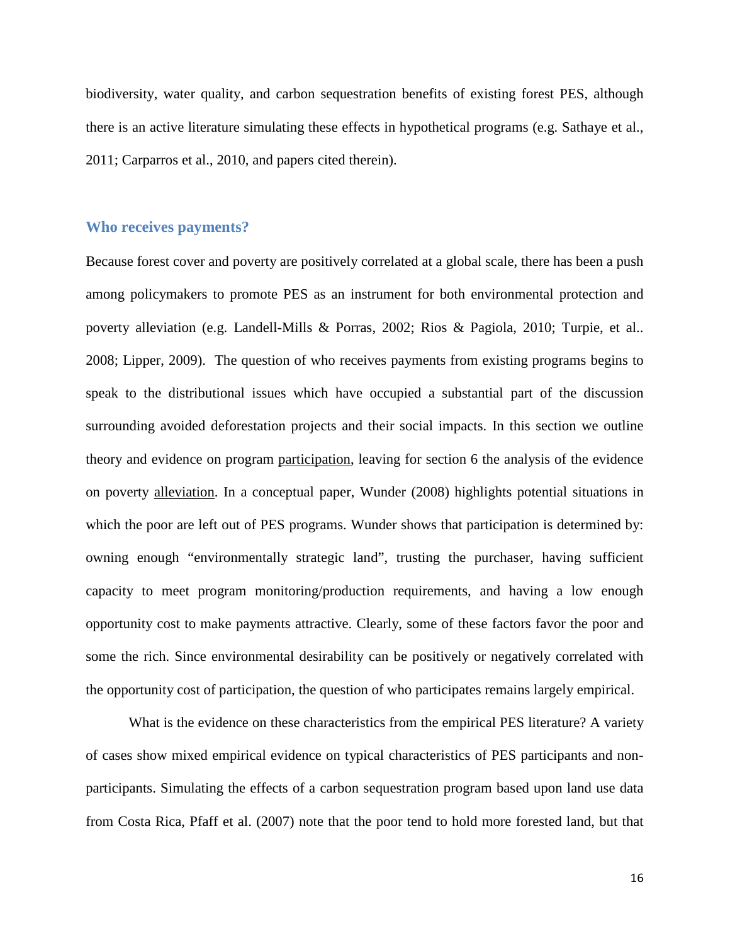biodiversity, water quality, and carbon sequestration benefits of existing forest PES, although there is an active literature simulating these effects in hypothetical programs (e.g. Sathaye et al., 2011; Carparros et al., 2010, and papers cited therein).

#### **Who receives payments?**

Because forest cover and poverty are positively correlated at a global scale, there has been a push among policymakers to promote PES as an instrument for both environmental protection and poverty alleviation (e.g. Landell-Mills & Porras, 2002; Rios & Pagiola, 2010; Turpie, et al.. 2008; Lipper, 2009). The question of who receives payments from existing programs begins to speak to the distributional issues which have occupied a substantial part of the discussion surrounding avoided deforestation projects and their social impacts. In this section we outline theory and evidence on program participation, leaving for section 6 the analysis of the evidence on poverty alleviation. In a conceptual paper, Wunder (2008) highlights potential situations in which the poor are left out of PES programs. Wunder shows that participation is determined by: owning enough "environmentally strategic land", trusting the purchaser, having sufficient capacity to meet program monitoring/production requirements, and having a low enough opportunity cost to make payments attractive. Clearly, some of these factors favor the poor and some the rich. Since environmental desirability can be positively or negatively correlated with the opportunity cost of participation, the question of who participates remains largely empirical.

What is the evidence on these characteristics from the empirical PES literature? A variety of cases show mixed empirical evidence on typical characteristics of PES participants and nonparticipants. Simulating the effects of a carbon sequestration program based upon land use data from Costa Rica, Pfaff et al. (2007) note that the poor tend to hold more forested land, but that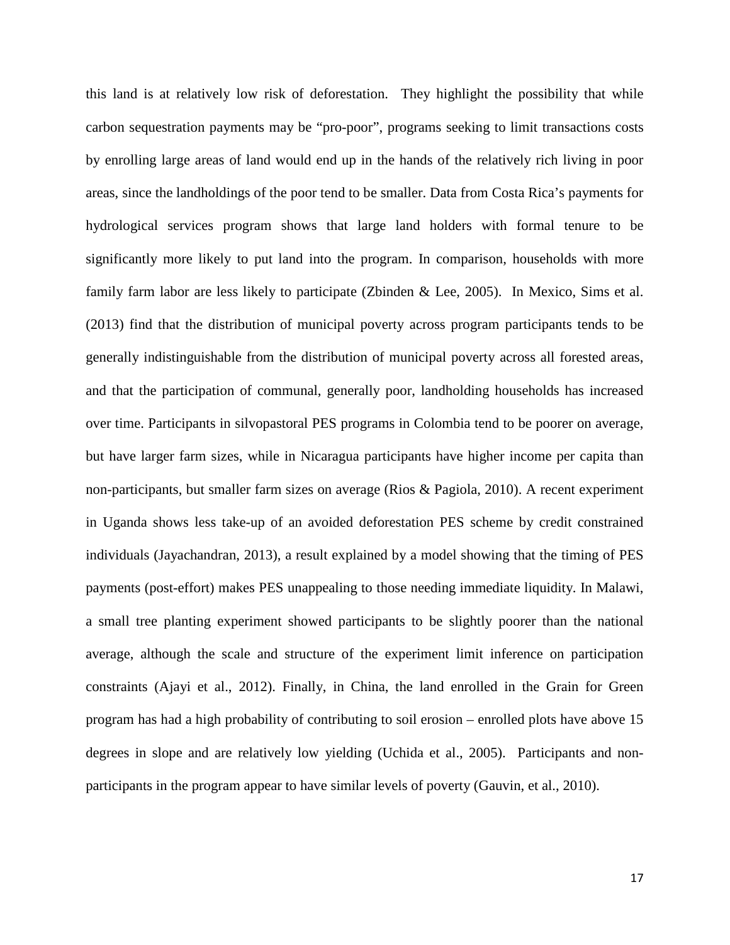this land is at relatively low risk of deforestation. They highlight the possibility that while carbon sequestration payments may be "pro-poor", programs seeking to limit transactions costs by enrolling large areas of land would end up in the hands of the relatively rich living in poor areas, since the landholdings of the poor tend to be smaller. Data from Costa Rica's payments for hydrological services program shows that large land holders with formal tenure to be significantly more likely to put land into the program. In comparison, households with more family farm labor are less likely to participate (Zbinden & Lee, 2005). In Mexico, Sims et al. (2013) find that the distribution of municipal poverty across program participants tends to be generally indistinguishable from the distribution of municipal poverty across all forested areas, and that the participation of communal, generally poor, landholding households has increased over time. Participants in silvopastoral PES programs in Colombia tend to be poorer on average, but have larger farm sizes, while in Nicaragua participants have higher income per capita than non-participants, but smaller farm sizes on average (Rios & Pagiola, 2010). A recent experiment in Uganda shows less take-up of an avoided deforestation PES scheme by credit constrained individuals (Jayachandran, 2013), a result explained by a model showing that the timing of PES payments (post-effort) makes PES unappealing to those needing immediate liquidity. In Malawi, a small tree planting experiment showed participants to be slightly poorer than the national average, although the scale and structure of the experiment limit inference on participation constraints (Ajayi et al., 2012). Finally, in China, the land enrolled in the Grain for Green program has had a high probability of contributing to soil erosion – enrolled plots have above 15 degrees in slope and are relatively low yielding (Uchida et al., 2005). Participants and nonparticipants in the program appear to have similar levels of poverty (Gauvin, et al., 2010).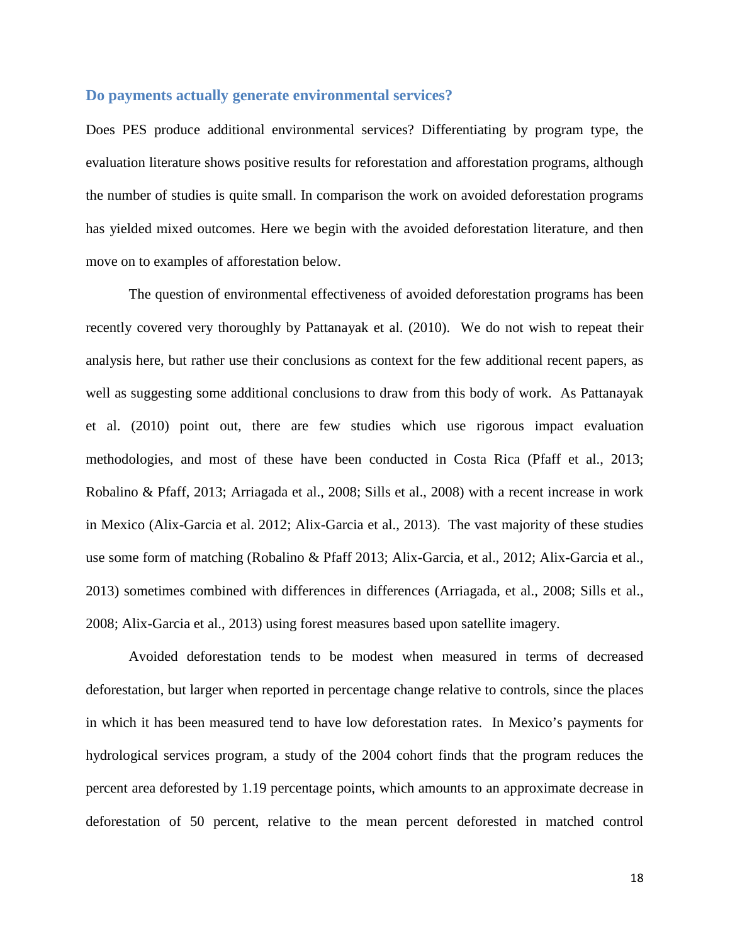#### **Do payments actually generate environmental services?**

Does PES produce additional environmental services? Differentiating by program type, the evaluation literature shows positive results for reforestation and afforestation programs, although the number of studies is quite small. In comparison the work on avoided deforestation programs has yielded mixed outcomes. Here we begin with the avoided deforestation literature, and then move on to examples of afforestation below.

The question of environmental effectiveness of avoided deforestation programs has been recently covered very thoroughly by Pattanayak et al. (2010). We do not wish to repeat their analysis here, but rather use their conclusions as context for the few additional recent papers, as well as suggesting some additional conclusions to draw from this body of work. As Pattanayak et al. (2010) point out, there are few studies which use rigorous impact evaluation methodologies, and most of these have been conducted in Costa Rica (Pfaff et al., 2013; Robalino & Pfaff, 2013; Arriagada et al., 2008; Sills et al., 2008) with a recent increase in work in Mexico (Alix-Garcia et al. 2012; Alix-Garcia et al., 2013). The vast majority of these studies use some form of matching (Robalino & Pfaff 2013; Alix-Garcia, et al., 2012; Alix-Garcia et al., 2013) sometimes combined with differences in differences (Arriagada, et al., 2008; Sills et al., 2008; Alix-Garcia et al., 2013) using forest measures based upon satellite imagery.

Avoided deforestation tends to be modest when measured in terms of decreased deforestation, but larger when reported in percentage change relative to controls, since the places in which it has been measured tend to have low deforestation rates. In Mexico's payments for hydrological services program, a study of the 2004 cohort finds that the program reduces the percent area deforested by 1.19 percentage points, which amounts to an approximate decrease in deforestation of 50 percent, relative to the mean percent deforested in matched control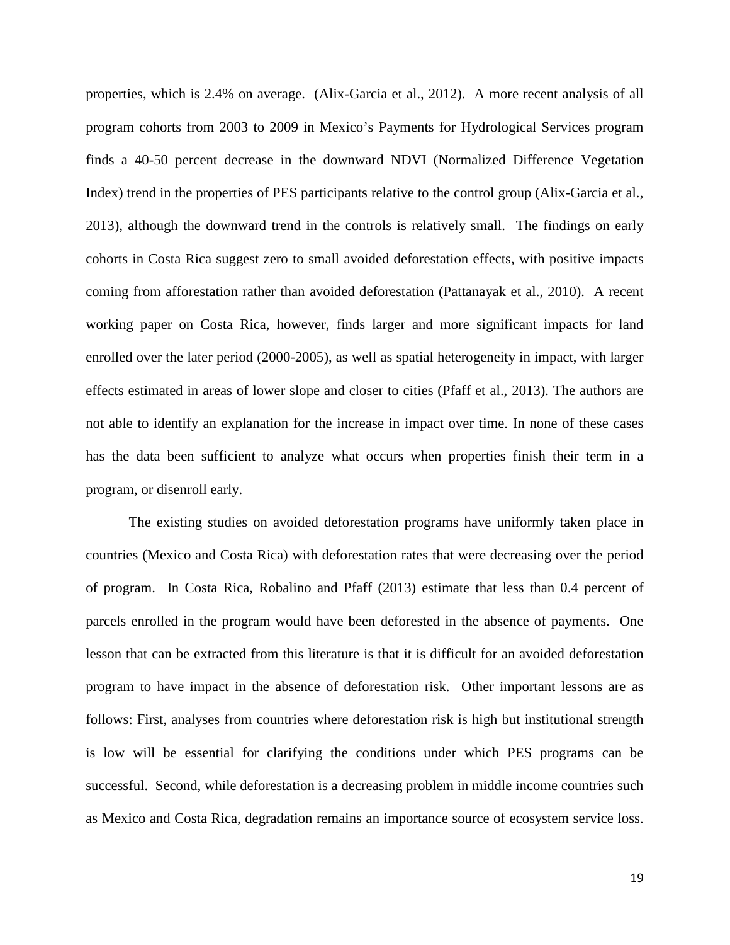properties, which is 2.4% on average. (Alix-Garcia et al., 2012). A more recent analysis of all program cohorts from 2003 to 2009 in Mexico's Payments for Hydrological Services program finds a 40-50 percent decrease in the downward NDVI (Normalized Difference Vegetation Index) trend in the properties of PES participants relative to the control group (Alix-Garcia et al., 2013), although the downward trend in the controls is relatively small. The findings on early cohorts in Costa Rica suggest zero to small avoided deforestation effects, with positive impacts coming from afforestation rather than avoided deforestation (Pattanayak et al., 2010). A recent working paper on Costa Rica, however, finds larger and more significant impacts for land enrolled over the later period (2000-2005), as well as spatial heterogeneity in impact, with larger effects estimated in areas of lower slope and closer to cities (Pfaff et al., 2013). The authors are not able to identify an explanation for the increase in impact over time. In none of these cases has the data been sufficient to analyze what occurs when properties finish their term in a program, or disenroll early.

The existing studies on avoided deforestation programs have uniformly taken place in countries (Mexico and Costa Rica) with deforestation rates that were decreasing over the period of program. In Costa Rica, Robalino and Pfaff (2013) estimate that less than 0.4 percent of parcels enrolled in the program would have been deforested in the absence of payments. One lesson that can be extracted from this literature is that it is difficult for an avoided deforestation program to have impact in the absence of deforestation risk. Other important lessons are as follows: First, analyses from countries where deforestation risk is high but institutional strength is low will be essential for clarifying the conditions under which PES programs can be successful. Second, while deforestation is a decreasing problem in middle income countries such as Mexico and Costa Rica, degradation remains an importance source of ecosystem service loss.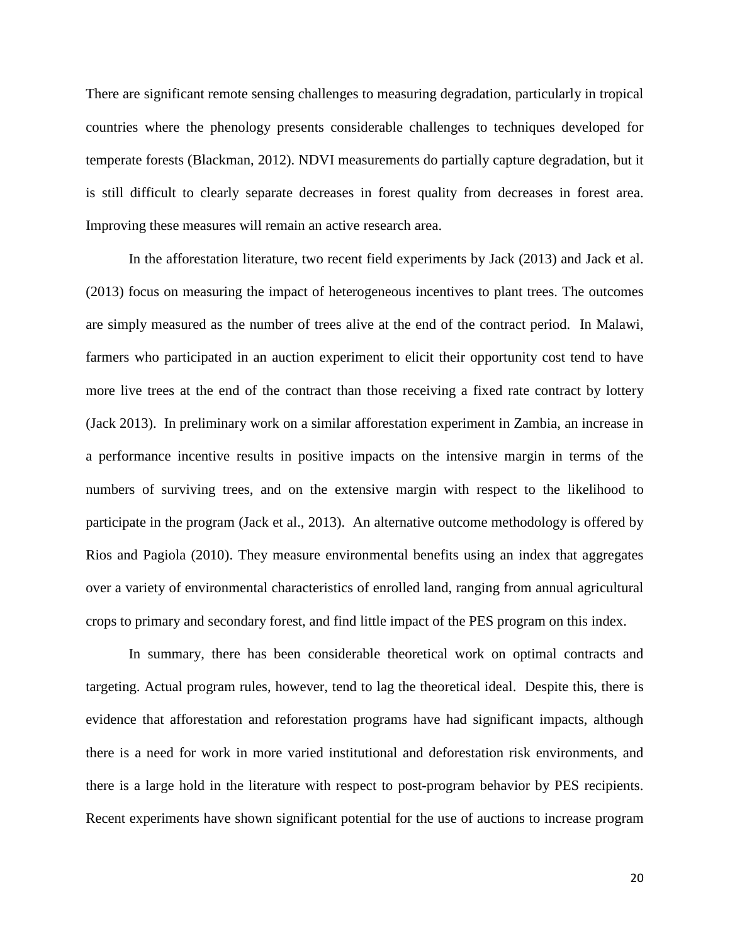There are significant remote sensing challenges to measuring degradation, particularly in tropical countries where the phenology presents considerable challenges to techniques developed for temperate forests (Blackman, 2012). NDVI measurements do partially capture degradation, but it is still difficult to clearly separate decreases in forest quality from decreases in forest area. Improving these measures will remain an active research area.

In the afforestation literature, two recent field experiments by Jack (2013) and Jack et al. (2013) focus on measuring the impact of heterogeneous incentives to plant trees. The outcomes are simply measured as the number of trees alive at the end of the contract period. In Malawi, farmers who participated in an auction experiment to elicit their opportunity cost tend to have more live trees at the end of the contract than those receiving a fixed rate contract by lottery (Jack 2013). In preliminary work on a similar afforestation experiment in Zambia, an increase in a performance incentive results in positive impacts on the intensive margin in terms of the numbers of surviving trees, and on the extensive margin with respect to the likelihood to participate in the program (Jack et al., 2013). An alternative outcome methodology is offered by Rios and Pagiola (2010). They measure environmental benefits using an index that aggregates over a variety of environmental characteristics of enrolled land, ranging from annual agricultural crops to primary and secondary forest, and find little impact of the PES program on this index.

In summary, there has been considerable theoretical work on optimal contracts and targeting. Actual program rules, however, tend to lag the theoretical ideal. Despite this, there is evidence that afforestation and reforestation programs have had significant impacts, although there is a need for work in more varied institutional and deforestation risk environments, and there is a large hold in the literature with respect to post-program behavior by PES recipients. Recent experiments have shown significant potential for the use of auctions to increase program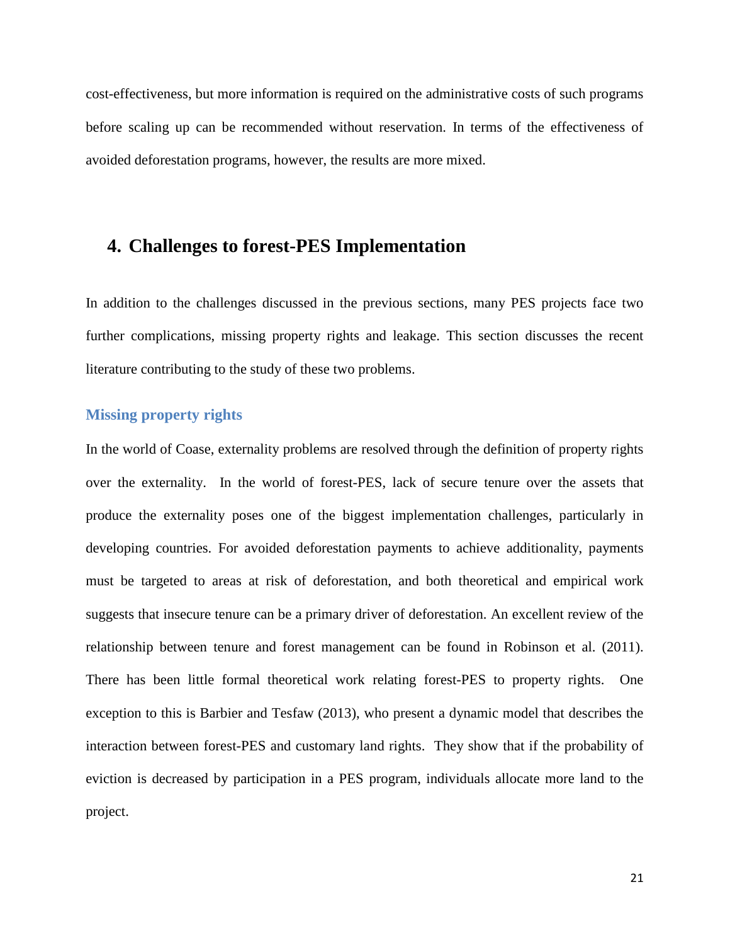cost-effectiveness, but more information is required on the administrative costs of such programs before scaling up can be recommended without reservation. In terms of the effectiveness of avoided deforestation programs, however, the results are more mixed.

## **4. Challenges to forest-PES Implementation**

In addition to the challenges discussed in the previous sections, many PES projects face two further complications, missing property rights and leakage. This section discusses the recent literature contributing to the study of these two problems.

#### **Missing property rights**

In the world of Coase, externality problems are resolved through the definition of property rights over the externality. In the world of forest-PES, lack of secure tenure over the assets that produce the externality poses one of the biggest implementation challenges, particularly in developing countries. For avoided deforestation payments to achieve additionality, payments must be targeted to areas at risk of deforestation, and both theoretical and empirical work suggests that insecure tenure can be a primary driver of deforestation. An excellent review of the relationship between tenure and forest management can be found in Robinson et al. (2011). There has been little formal theoretical work relating forest-PES to property rights. One exception to this is Barbier and Tesfaw (2013), who present a dynamic model that describes the interaction between forest-PES and customary land rights. They show that if the probability of eviction is decreased by participation in a PES program, individuals allocate more land to the project.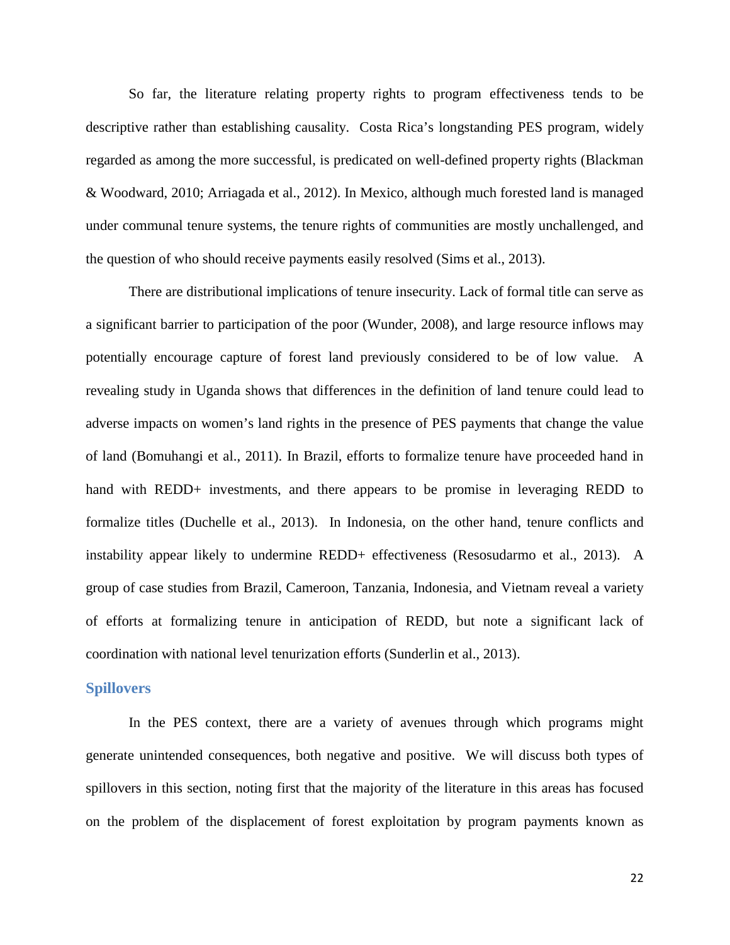So far, the literature relating property rights to program effectiveness tends to be descriptive rather than establishing causality. Costa Rica's longstanding PES program, widely regarded as among the more successful, is predicated on well-defined property rights (Blackman & Woodward, 2010; Arriagada et al., 2012). In Mexico, although much forested land is managed under communal tenure systems, the tenure rights of communities are mostly unchallenged, and the question of who should receive payments easily resolved (Sims et al., 2013).

There are distributional implications of tenure insecurity. Lack of formal title can serve as a significant barrier to participation of the poor (Wunder, 2008), and large resource inflows may potentially encourage capture of forest land previously considered to be of low value. A revealing study in Uganda shows that differences in the definition of land tenure could lead to adverse impacts on women's land rights in the presence of PES payments that change the value of land (Bomuhangi et al., 2011). In Brazil, efforts to formalize tenure have proceeded hand in hand with REDD+ investments, and there appears to be promise in leveraging REDD to formalize titles (Duchelle et al., 2013). In Indonesia, on the other hand, tenure conflicts and instability appear likely to undermine REDD+ effectiveness (Resosudarmo et al., 2013). A group of case studies from Brazil, Cameroon, Tanzania, Indonesia, and Vietnam reveal a variety of efforts at formalizing tenure in anticipation of REDD, but note a significant lack of coordination with national level tenurization efforts (Sunderlin et al., 2013).

#### **Spillovers**

In the PES context, there are a variety of avenues through which programs might generate unintended consequences, both negative and positive. We will discuss both types of spillovers in this section, noting first that the majority of the literature in this areas has focused on the problem of the displacement of forest exploitation by program payments known as

22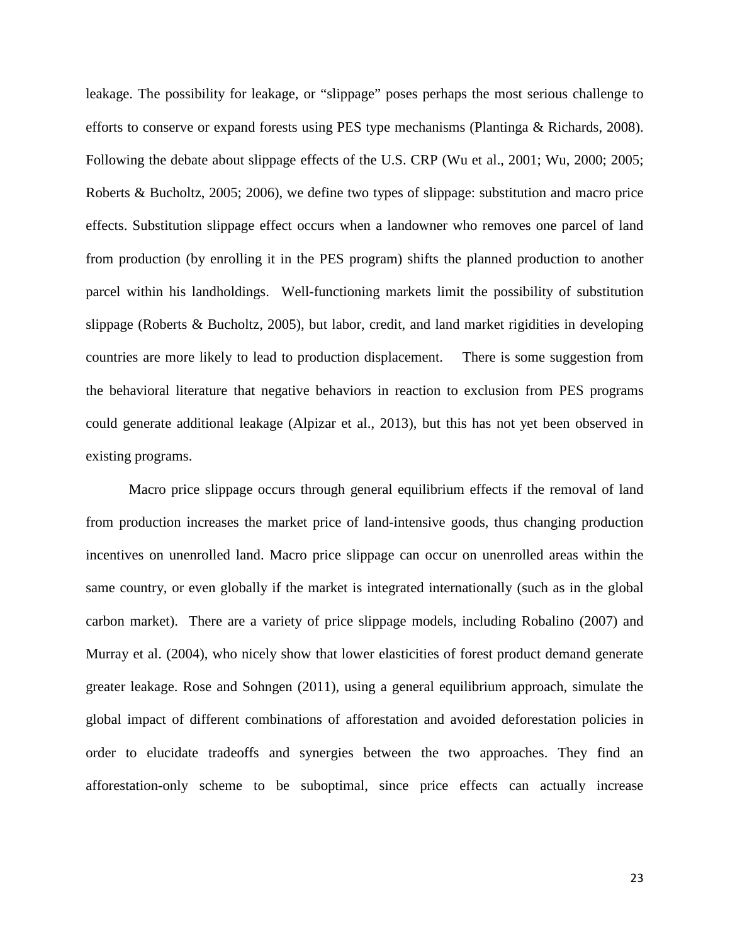leakage. The possibility for leakage, or "slippage" poses perhaps the most serious challenge to efforts to conserve or expand forests using PES type mechanisms (Plantinga & Richards, 2008). Following the debate about slippage effects of the U.S. CRP (Wu et al., 2001; Wu, 2000; 2005; Roberts & Bucholtz, 2005; 2006), we define two types of slippage: substitution and macro price effects. Substitution slippage effect occurs when a landowner who removes one parcel of land from production (by enrolling it in the PES program) shifts the planned production to another parcel within his landholdings. Well-functioning markets limit the possibility of substitution slippage (Roberts & Bucholtz, 2005), but labor, credit, and land market rigidities in developing countries are more likely to lead to production displacement. There is some suggestion from the behavioral literature that negative behaviors in reaction to exclusion from PES programs could generate additional leakage (Alpizar et al., 2013), but this has not yet been observed in existing programs.

Macro price slippage occurs through general equilibrium effects if the removal of land from production increases the market price of land-intensive goods, thus changing production incentives on unenrolled land. Macro price slippage can occur on unenrolled areas within the same country, or even globally if the market is integrated internationally (such as in the global carbon market). There are a variety of price slippage models, including Robalino (2007) and Murray et al. (2004), who nicely show that lower elasticities of forest product demand generate greater leakage. Rose and Sohngen (2011), using a general equilibrium approach, simulate the global impact of different combinations of afforestation and avoided deforestation policies in order to elucidate tradeoffs and synergies between the two approaches. They find an afforestation-only scheme to be suboptimal, since price effects can actually increase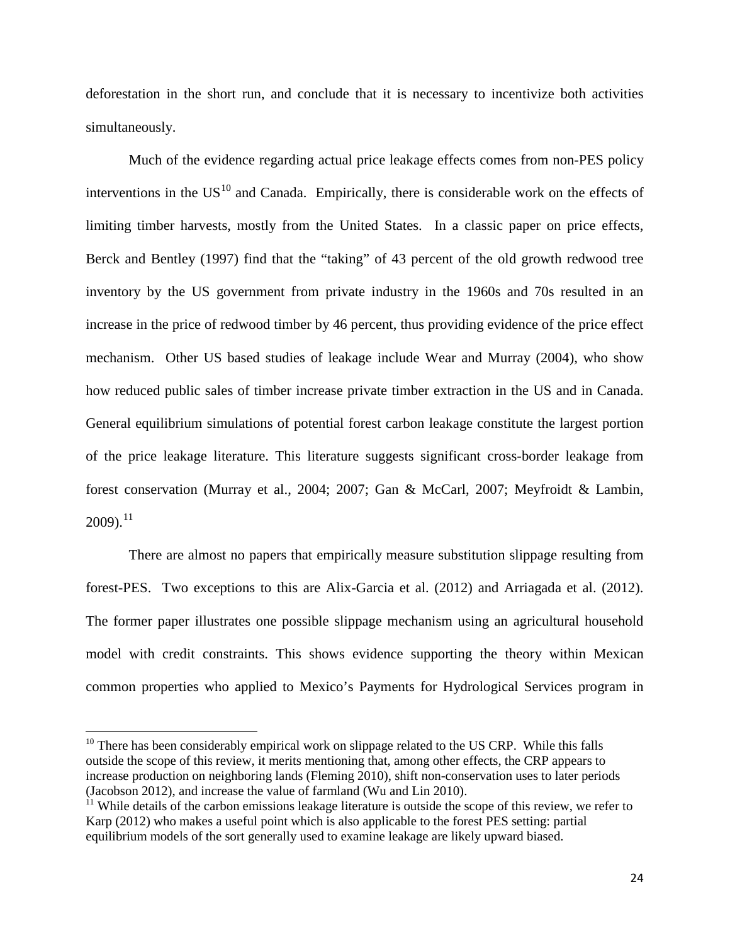deforestation in the short run, and conclude that it is necessary to incentivize both activities simultaneously.

Much of the evidence regarding actual price leakage effects comes from non-PES policy interventions in the  $US<sup>10</sup>$  $US<sup>10</sup>$  $US<sup>10</sup>$  and Canada. Empirically, there is considerable work on the effects of limiting timber harvests, mostly from the United States. In a classic paper on price effects, Berck and Bentley (1997) find that the "taking" of 43 percent of the old growth redwood tree inventory by the US government from private industry in the 1960s and 70s resulted in an increase in the price of redwood timber by 46 percent, thus providing evidence of the price effect mechanism. Other US based studies of leakage include Wear and Murray (2004), who show how reduced public sales of timber increase private timber extraction in the US and in Canada. General equilibrium simulations of potential forest carbon leakage constitute the largest portion of the price leakage literature. This literature suggests significant cross-border leakage from forest conservation (Murray et al., 2004; 2007; Gan & McCarl, 2007; Meyfroidt & Lambin,  $2009$ ).<sup>[11](#page-24-1)</sup>

There are almost no papers that empirically measure substitution slippage resulting from forest-PES. Two exceptions to this are Alix-Garcia et al. (2012) and Arriagada et al. (2012). The former paper illustrates one possible slippage mechanism using an agricultural household model with credit constraints. This shows evidence supporting the theory within Mexican common properties who applied to Mexico's Payments for Hydrological Services program in

<span id="page-24-0"></span> $10$  There has been considerably empirical work on slippage related to the US CRP. While this falls outside the scope of this review, it merits mentioning that, among other effects, the CRP appears to increase production on neighboring lands (Fleming 2010), shift non-conservation uses to later periods (Jacobson 2012), and increase the value of farmland (Wu and Lin 2010).

<span id="page-24-1"></span> $11$  While details of the carbon emissions leakage literature is outside the scope of this review, we refer to Karp (2012) who makes a useful point which is also applicable to the forest PES setting: partial equilibrium models of the sort generally used to examine leakage are likely upward biased.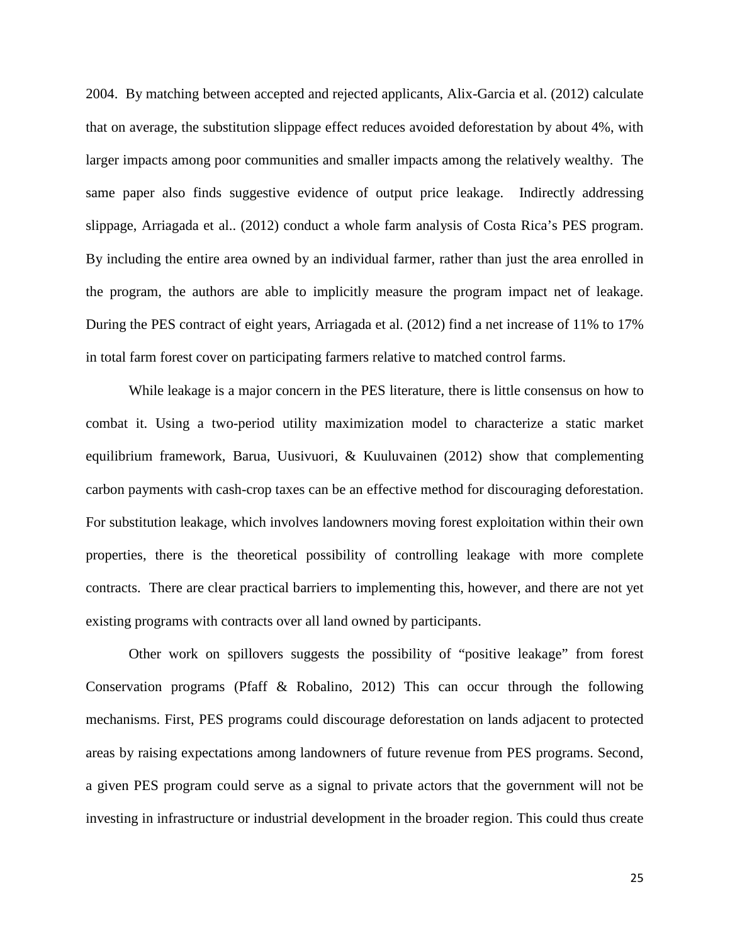2004. By matching between accepted and rejected applicants, Alix-Garcia et al. (2012) calculate that on average, the substitution slippage effect reduces avoided deforestation by about 4%, with larger impacts among poor communities and smaller impacts among the relatively wealthy. The same paper also finds suggestive evidence of output price leakage. Indirectly addressing slippage, Arriagada et al.. (2012) conduct a whole farm analysis of Costa Rica's PES program. By including the entire area owned by an individual farmer, rather than just the area enrolled in the program, the authors are able to implicitly measure the program impact net of leakage. During the PES contract of eight years, Arriagada et al. (2012) find a net increase of 11% to 17% in total farm forest cover on participating farmers relative to matched control farms.

While leakage is a major concern in the PES literature, there is little consensus on how to combat it. Using a two-period utility maximization model to characterize a static market equilibrium framework, Barua, Uusivuori, & Kuuluvainen (2012) show that complementing carbon payments with cash-crop taxes can be an effective method for discouraging deforestation. For substitution leakage, which involves landowners moving forest exploitation within their own properties, there is the theoretical possibility of controlling leakage with more complete contracts. There are clear practical barriers to implementing this, however, and there are not yet existing programs with contracts over all land owned by participants.

Other work on spillovers suggests the possibility of "positive leakage" from forest Conservation programs (Pfaff & Robalino, 2012) This can occur through the following mechanisms. First, PES programs could discourage deforestation on lands adjacent to protected areas by raising expectations among landowners of future revenue from PES programs. Second, a given PES program could serve as a signal to private actors that the government will not be investing in infrastructure or industrial development in the broader region. This could thus create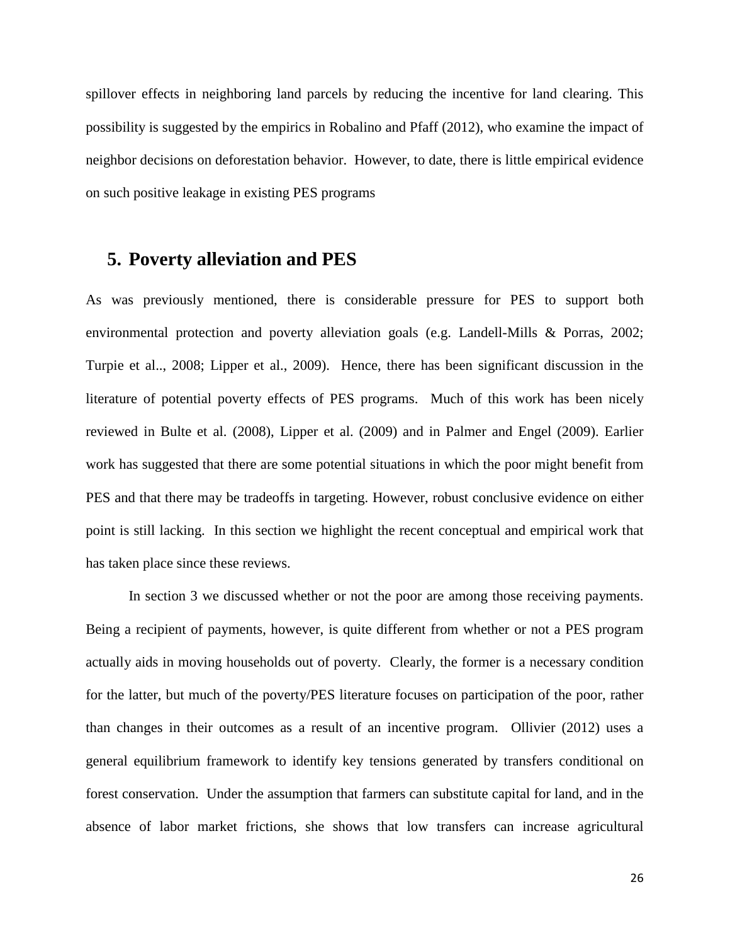spillover effects in neighboring land parcels by reducing the incentive for land clearing. This possibility is suggested by the empirics in Robalino and Pfaff (2012), who examine the impact of neighbor decisions on deforestation behavior. However, to date, there is little empirical evidence on such positive leakage in existing PES programs

### **5. Poverty alleviation and PES**

As was previously mentioned, there is considerable pressure for PES to support both environmental protection and poverty alleviation goals (e.g. Landell-Mills & Porras, 2002; Turpie et al.., 2008; Lipper et al., 2009). Hence, there has been significant discussion in the literature of potential poverty effects of PES programs. Much of this work has been nicely reviewed in Bulte et al. (2008), Lipper et al. (2009) and in Palmer and Engel (2009). Earlier work has suggested that there are some potential situations in which the poor might benefit from PES and that there may be tradeoffs in targeting. However, robust conclusive evidence on either point is still lacking. In this section we highlight the recent conceptual and empirical work that has taken place since these reviews.

In section 3 we discussed whether or not the poor are among those receiving payments. Being a recipient of payments, however, is quite different from whether or not a PES program actually aids in moving households out of poverty. Clearly, the former is a necessary condition for the latter, but much of the poverty/PES literature focuses on participation of the poor, rather than changes in their outcomes as a result of an incentive program. Ollivier (2012) uses a general equilibrium framework to identify key tensions generated by transfers conditional on forest conservation. Under the assumption that farmers can substitute capital for land, and in the absence of labor market frictions, she shows that low transfers can increase agricultural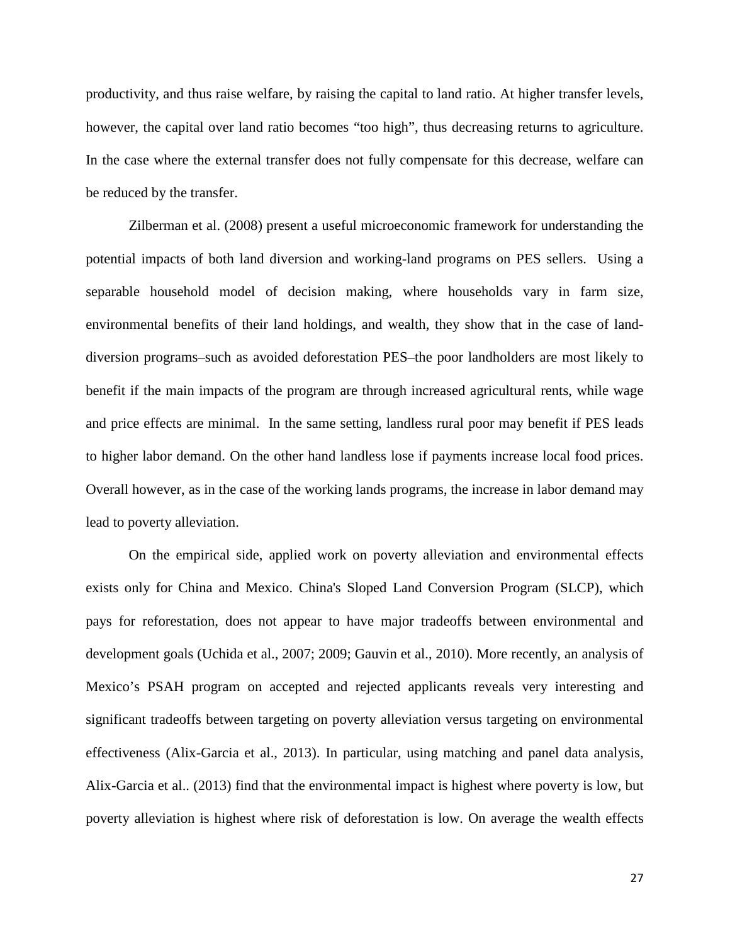productivity, and thus raise welfare, by raising the capital to land ratio. At higher transfer levels, however, the capital over land ratio becomes "too high", thus decreasing returns to agriculture. In the case where the external transfer does not fully compensate for this decrease, welfare can be reduced by the transfer.

Zilberman et al. (2008) present a useful microeconomic framework for understanding the potential impacts of both land diversion and working-land programs on PES sellers. Using a separable household model of decision making, where households vary in farm size, environmental benefits of their land holdings, and wealth, they show that in the case of landdiversion programs–such as avoided deforestation PES–the poor landholders are most likely to benefit if the main impacts of the program are through increased agricultural rents, while wage and price effects are minimal. In the same setting, landless rural poor may benefit if PES leads to higher labor demand. On the other hand landless lose if payments increase local food prices. Overall however, as in the case of the working lands programs, the increase in labor demand may lead to poverty alleviation.

On the empirical side, applied work on poverty alleviation and environmental effects exists only for China and Mexico. China's Sloped Land Conversion Program (SLCP), which pays for reforestation, does not appear to have major tradeoffs between environmental and development goals (Uchida et al., 2007; 2009; Gauvin et al., 2010). More recently, an analysis of Mexico's PSAH program on accepted and rejected applicants reveals very interesting and significant tradeoffs between targeting on poverty alleviation versus targeting on environmental effectiveness (Alix-Garcia et al., 2013). In particular, using matching and panel data analysis, Alix-Garcia et al.. (2013) find that the environmental impact is highest where poverty is low, but poverty alleviation is highest where risk of deforestation is low. On average the wealth effects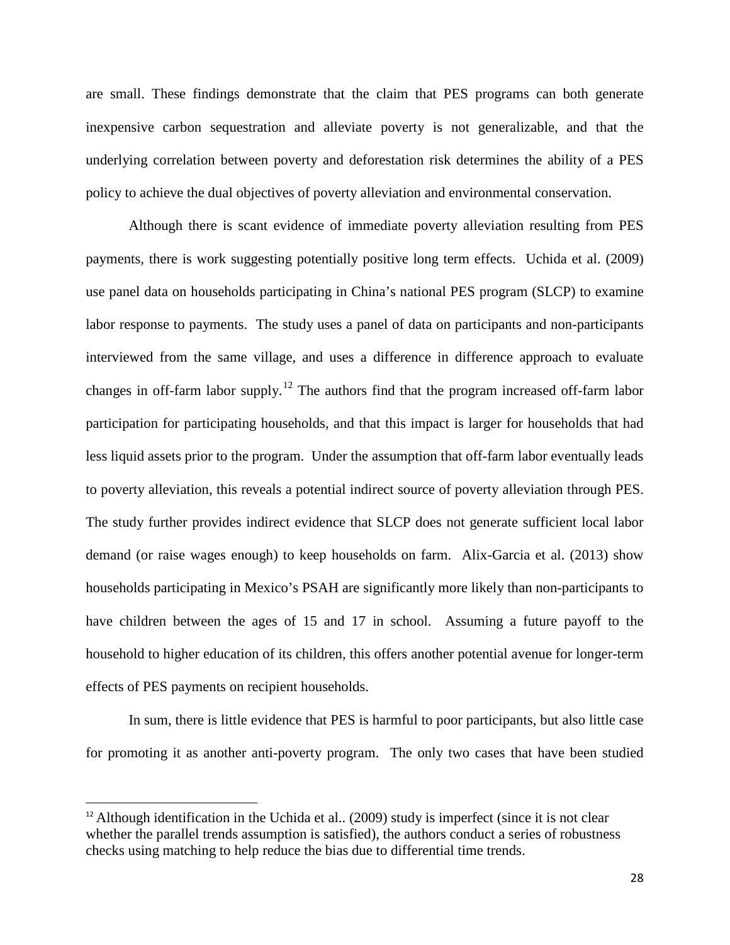are small. These findings demonstrate that the claim that PES programs can both generate inexpensive carbon sequestration and alleviate poverty is not generalizable, and that the underlying correlation between poverty and deforestation risk determines the ability of a PES policy to achieve the dual objectives of poverty alleviation and environmental conservation.

Although there is scant evidence of immediate poverty alleviation resulting from PES payments, there is work suggesting potentially positive long term effects. Uchida et al. (2009) use panel data on households participating in China's national PES program (SLCP) to examine labor response to payments. The study uses a panel of data on participants and non-participants interviewed from the same village, and uses a difference in difference approach to evaluate changes in off-farm labor supply.<sup>[12](#page-28-0)</sup> The authors find that the program increased off-farm labor participation for participating households, and that this impact is larger for households that had less liquid assets prior to the program. Under the assumption that off-farm labor eventually leads to poverty alleviation, this reveals a potential indirect source of poverty alleviation through PES. The study further provides indirect evidence that SLCP does not generate sufficient local labor demand (or raise wages enough) to keep households on farm. Alix-Garcia et al. (2013) show households participating in Mexico's PSAH are significantly more likely than non-participants to have children between the ages of 15 and 17 in school. Assuming a future payoff to the household to higher education of its children, this offers another potential avenue for longer-term effects of PES payments on recipient households.

In sum, there is little evidence that PES is harmful to poor participants, but also little case for promoting it as another anti-poverty program. The only two cases that have been studied

<span id="page-28-0"></span> $12$  Although identification in the Uchida et al.. (2009) study is imperfect (since it is not clear whether the parallel trends assumption is satisfied), the authors conduct a series of robustness checks using matching to help reduce the bias due to differential time trends.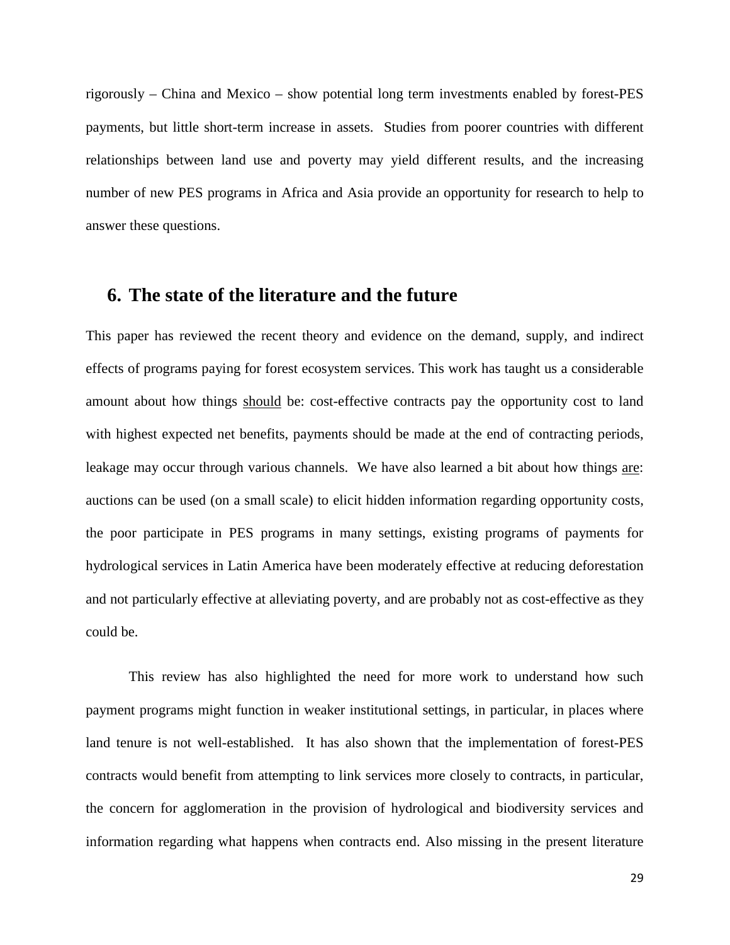rigorously – China and Mexico – show potential long term investments enabled by forest-PES payments, but little short-term increase in assets. Studies from poorer countries with different relationships between land use and poverty may yield different results, and the increasing number of new PES programs in Africa and Asia provide an opportunity for research to help to answer these questions.

### **6. The state of the literature and the future**

This paper has reviewed the recent theory and evidence on the demand, supply, and indirect effects of programs paying for forest ecosystem services. This work has taught us a considerable amount about how things should be: cost-effective contracts pay the opportunity cost to land with highest expected net benefits, payments should be made at the end of contracting periods, leakage may occur through various channels. We have also learned a bit about how things are: auctions can be used (on a small scale) to elicit hidden information regarding opportunity costs, the poor participate in PES programs in many settings, existing programs of payments for hydrological services in Latin America have been moderately effective at reducing deforestation and not particularly effective at alleviating poverty, and are probably not as cost-effective as they could be.

This review has also highlighted the need for more work to understand how such payment programs might function in weaker institutional settings, in particular, in places where land tenure is not well-established. It has also shown that the implementation of forest-PES contracts would benefit from attempting to link services more closely to contracts, in particular, the concern for agglomeration in the provision of hydrological and biodiversity services and information regarding what happens when contracts end. Also missing in the present literature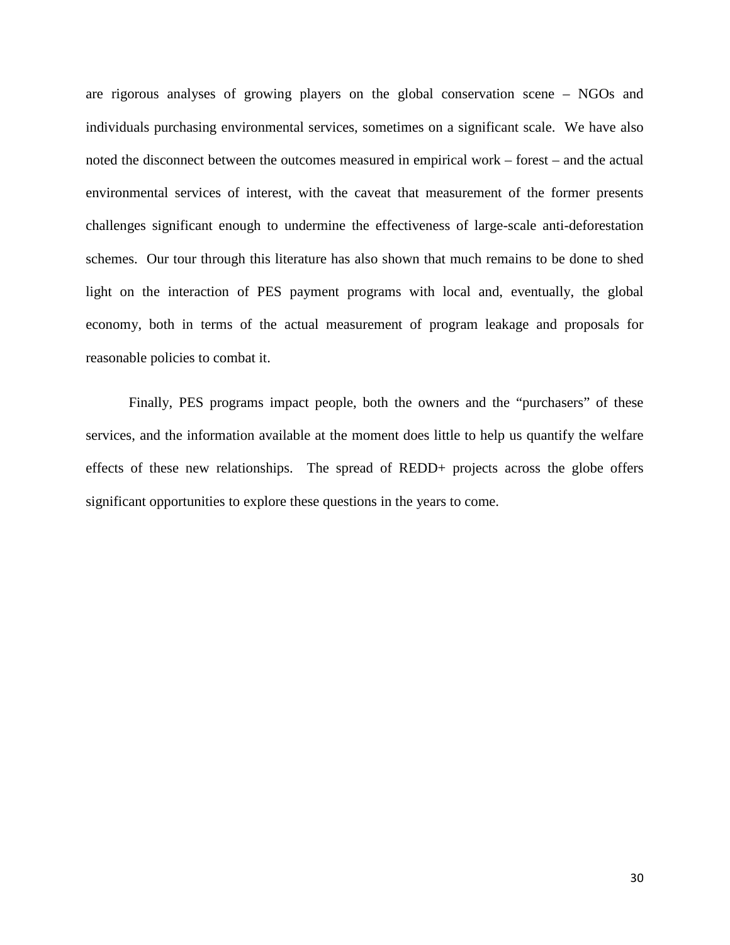are rigorous analyses of growing players on the global conservation scene – NGOs and individuals purchasing environmental services, sometimes on a significant scale. We have also noted the disconnect between the outcomes measured in empirical work – forest – and the actual environmental services of interest, with the caveat that measurement of the former presents challenges significant enough to undermine the effectiveness of large-scale anti-deforestation schemes. Our tour through this literature has also shown that much remains to be done to shed light on the interaction of PES payment programs with local and, eventually, the global economy, both in terms of the actual measurement of program leakage and proposals for reasonable policies to combat it.

Finally, PES programs impact people, both the owners and the "purchasers" of these services, and the information available at the moment does little to help us quantify the welfare effects of these new relationships. The spread of REDD+ projects across the globe offers significant opportunities to explore these questions in the years to come.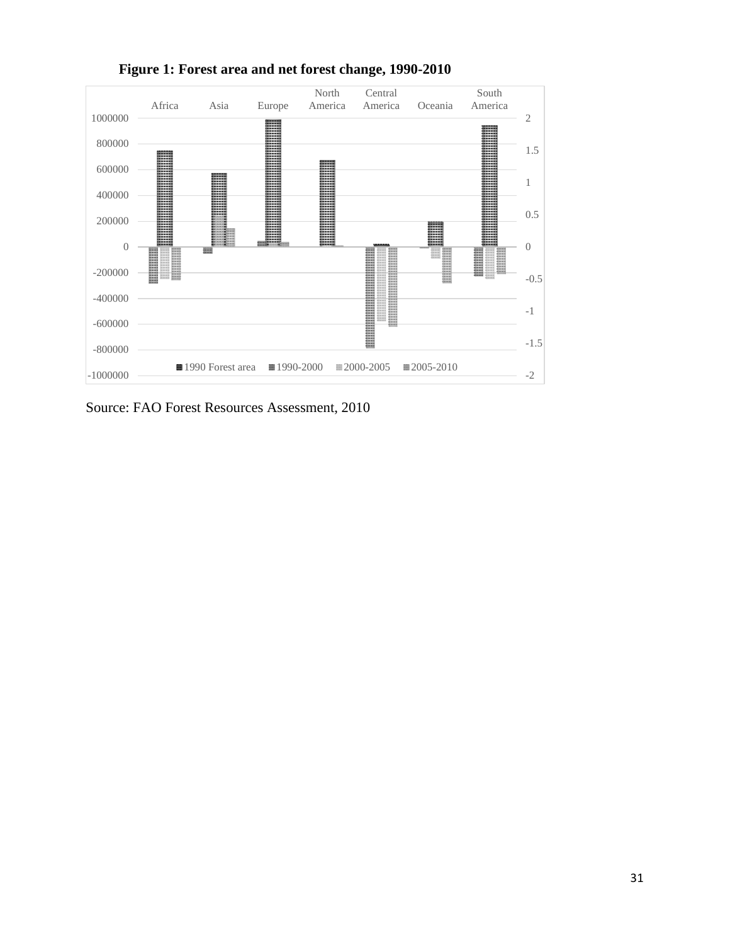

**Figure 1: Forest area and net forest change, 1990-2010** 

Source: FAO Forest Resources Assessment, 2010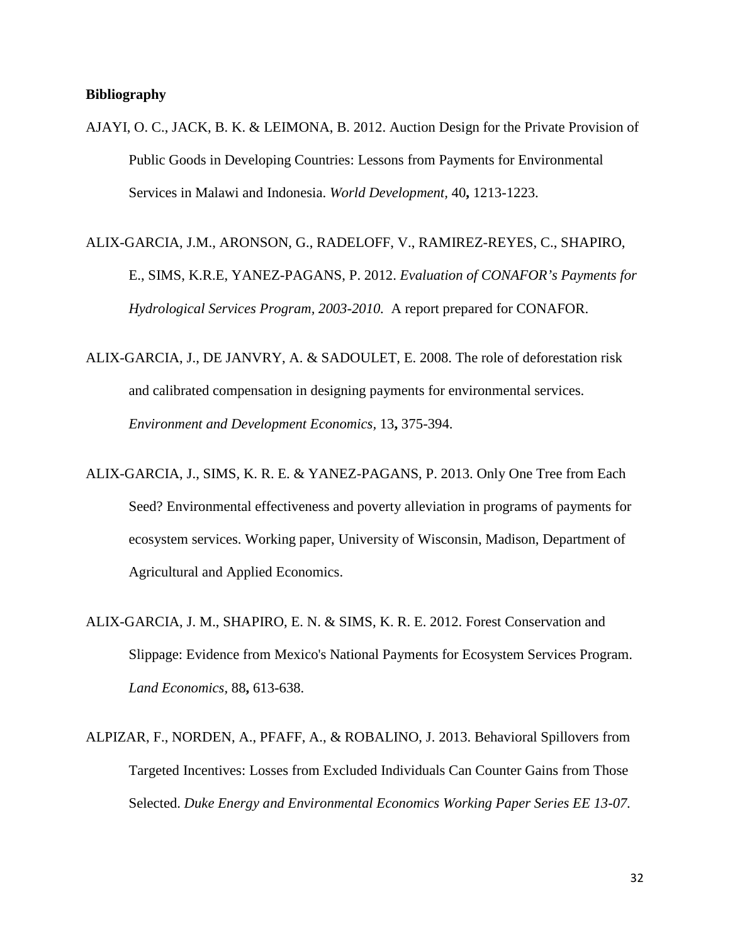#### **Bibliography**

- AJAYI, O. C., JACK, B. K. & LEIMONA, B. 2012. Auction Design for the Private Provision of Public Goods in Developing Countries: Lessons from Payments for Environmental Services in Malawi and Indonesia. *World Development,* 40**,** 1213-1223.
- ALIX-GARCIA, J.M., ARONSON, G., RADELOFF, V., RAMIREZ-REYES, C., SHAPIRO, E., SIMS, K.R.E, YANEZ-PAGANS, P. 2012. *Evaluation of CONAFOR's Payments for Hydrological Services Program, 2003-2010.* A report prepared for CONAFOR.
- ALIX-GARCIA, J., DE JANVRY, A. & SADOULET, E. 2008. The role of deforestation risk and calibrated compensation in designing payments for environmental services. *Environment and Development Economics,* 13**,** 375-394.
- ALIX-GARCIA, J., SIMS, K. R. E. & YANEZ-PAGANS, P. 2013. Only One Tree from Each Seed? Environmental effectiveness and poverty alleviation in programs of payments for ecosystem services. Working paper, University of Wisconsin, Madison, Department of Agricultural and Applied Economics.
- ALIX-GARCIA, J. M., SHAPIRO, E. N. & SIMS, K. R. E. 2012. Forest Conservation and Slippage: Evidence from Mexico's National Payments for Ecosystem Services Program. *Land Economics,* 88**,** 613-638.
- ALPIZAR, F., NORDEN, A., PFAFF, A., & ROBALINO, J. 2013. Behavioral Spillovers from Targeted Incentives: Losses from Excluded Individuals Can Counter Gains from Those Selected. *Duke Energy and Environmental Economics Working Paper Series EE 13-07.*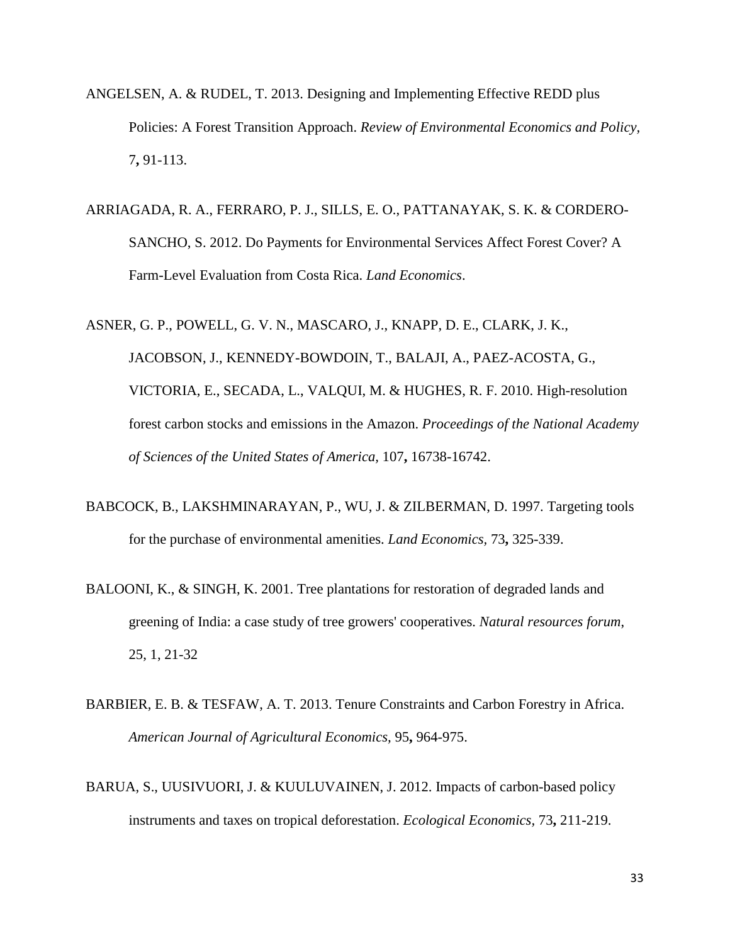- ANGELSEN, A. & RUDEL, T. 2013. Designing and Implementing Effective REDD plus Policies: A Forest Transition Approach. *Review of Environmental Economics and Policy,* 7**,** 91-113.
- ARRIAGADA, R. A., FERRARO, P. J., SILLS, E. O., PATTANAYAK, S. K. & CORDERO-SANCHO, S. 2012. Do Payments for Environmental Services Affect Forest Cover? A Farm-Level Evaluation from Costa Rica. *Land Economics*.

ASNER, G. P., POWELL, G. V. N., MASCARO, J., KNAPP, D. E., CLARK, J. K., JACOBSON, J., KENNEDY-BOWDOIN, T., BALAJI, A., PAEZ-ACOSTA, G., VICTORIA, E., SECADA, L., VALQUI, M. & HUGHES, R. F. 2010. High-resolution forest carbon stocks and emissions in the Amazon. *Proceedings of the National Academy of Sciences of the United States of America,* 107**,** 16738-16742.

- BABCOCK, B., LAKSHMINARAYAN, P., WU, J. & ZILBERMAN, D. 1997. Targeting tools for the purchase of environmental amenities. *Land Economics,* 73**,** 325-339.
- BALOONI, K., & SINGH, K. 2001. Tree plantations for restoration of degraded lands and greening of India: a case study of tree growers' cooperatives. *Natural resources forum*, 25, 1, 21-32
- BARBIER, E. B. & TESFAW, A. T. 2013. Tenure Constraints and Carbon Forestry in Africa. *American Journal of Agricultural Economics,* 95**,** 964-975.
- BARUA, S., UUSIVUORI, J. & KUULUVAINEN, J. 2012. Impacts of carbon-based policy instruments and taxes on tropical deforestation. *Ecological Economics,* 73**,** 211-219.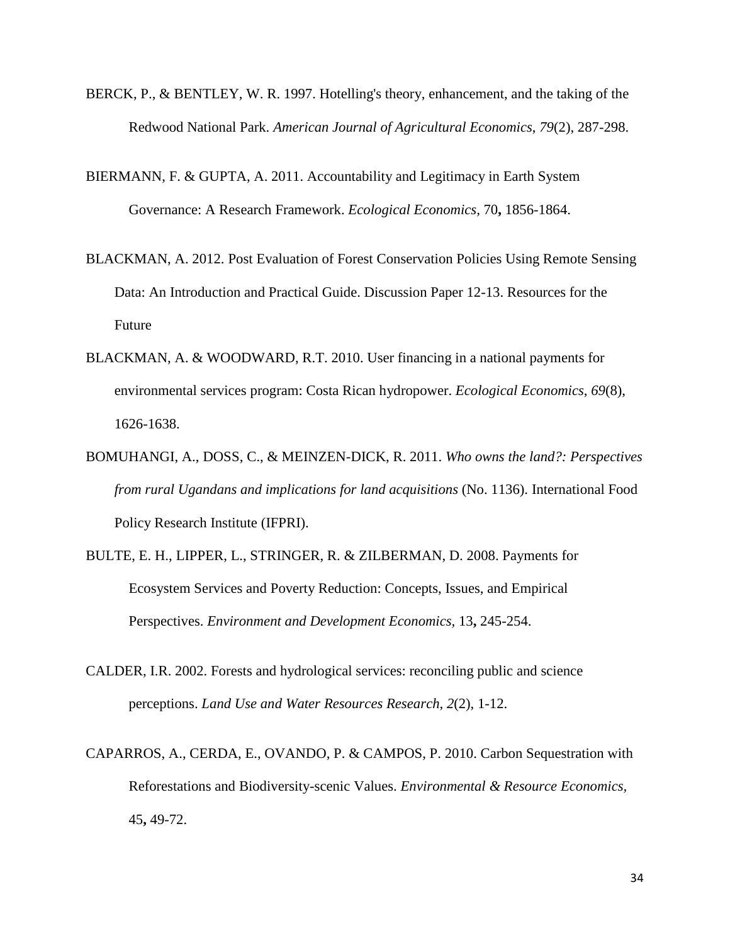- BERCK, P., & BENTLEY, W. R. 1997. Hotelling's theory, enhancement, and the taking of the Redwood National Park. *American Journal of Agricultural Economics*, *79*(2), 287-298.
- BIERMANN, F. & GUPTA, A. 2011. Accountability and Legitimacy in Earth System Governance: A Research Framework. *Ecological Economics,* 70**,** 1856-1864.
- BLACKMAN, A. 2012. Post Evaluation of Forest Conservation Policies Using Remote Sensing Data: An Introduction and Practical Guide. Discussion Paper 12-13. Resources for the Future
- BLACKMAN, A. & WOODWARD, R.T. 2010. User financing in a national payments for environmental services program: Costa Rican hydropower. *Ecological Economics*, *69*(8), 1626-1638.
- BOMUHANGI, A., DOSS, C., & MEINZEN-DICK, R. 2011. *Who owns the land?: Perspectives from rural Ugandans and implications for land acquisitions* (No. 1136). International Food Policy Research Institute (IFPRI).
- BULTE, E. H., LIPPER, L., STRINGER, R. & ZILBERMAN, D. 2008. Payments for Ecosystem Services and Poverty Reduction: Concepts, Issues, and Empirical Perspectives. *Environment and Development Economics,* 13**,** 245-254.
- CALDER, I.R. 2002. Forests and hydrological services: reconciling public and science perceptions. *Land Use and Water Resources Research*, *2*(2), 1-12.
- CAPARROS, A., CERDA, E., OVANDO, P. & CAMPOS, P. 2010. Carbon Sequestration with Reforestations and Biodiversity-scenic Values. *Environmental & Resource Economics,* 45**,** 49-72.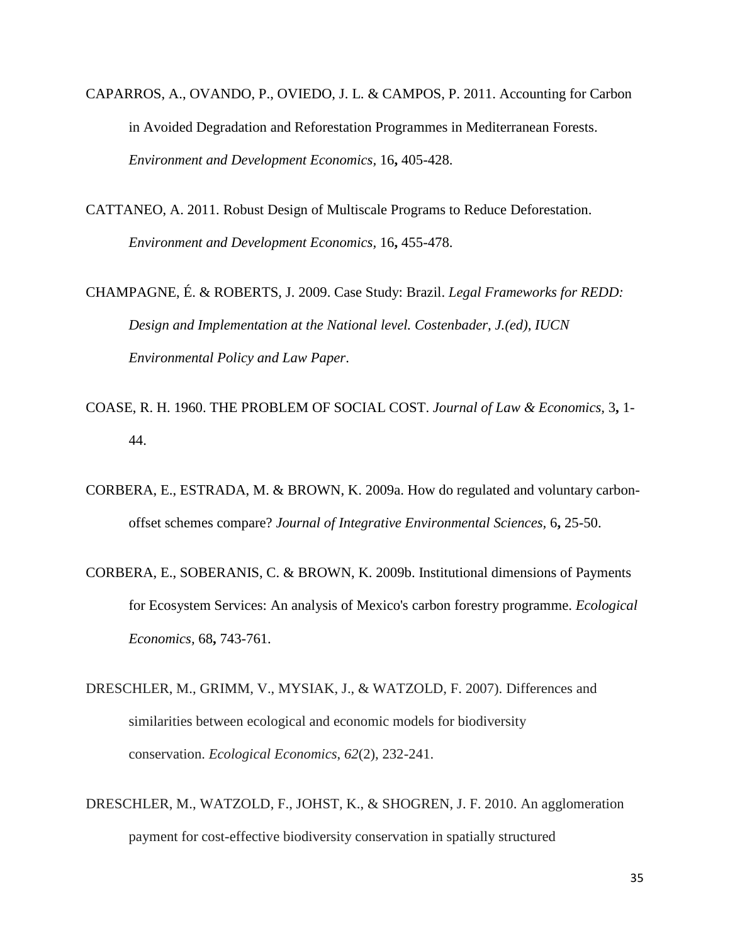- CAPARROS, A., OVANDO, P., OVIEDO, J. L. & CAMPOS, P. 2011. Accounting for Carbon in Avoided Degradation and Reforestation Programmes in Mediterranean Forests. *Environment and Development Economics,* 16**,** 405-428.
- CATTANEO, A. 2011. Robust Design of Multiscale Programs to Reduce Deforestation. *Environment and Development Economics,* 16**,** 455-478.

CHAMPAGNE, É. & ROBERTS, J. 2009. Case Study: Brazil. *Legal Frameworks for REDD: Design and Implementation at the National level. Costenbader, J.(ed), IUCN Environmental Policy and Law Paper*.

- COASE, R. H. 1960. THE PROBLEM OF SOCIAL COST. *Journal of Law & Economics,* 3**,** 1- 44.
- CORBERA, E., ESTRADA, M. & BROWN, K. 2009a. How do regulated and voluntary carbonoffset schemes compare? *Journal of Integrative Environmental Sciences,* 6**,** 25-50.
- CORBERA, E., SOBERANIS, C. & BROWN, K. 2009b. Institutional dimensions of Payments for Ecosystem Services: An analysis of Mexico's carbon forestry programme. *Ecological Economics,* 68**,** 743-761.
- DRESCHLER, M., GRIMM, V., MYSIAK, J., & WATZOLD, F. 2007). Differences and similarities between ecological and economic models for biodiversity conservation. *Ecological Economics*, *62*(2), 232-241.
- DRESCHLER, M., WATZOLD, F., JOHST, K., & SHOGREN, J. F. 2010. An agglomeration payment for cost-effective biodiversity conservation in spatially structured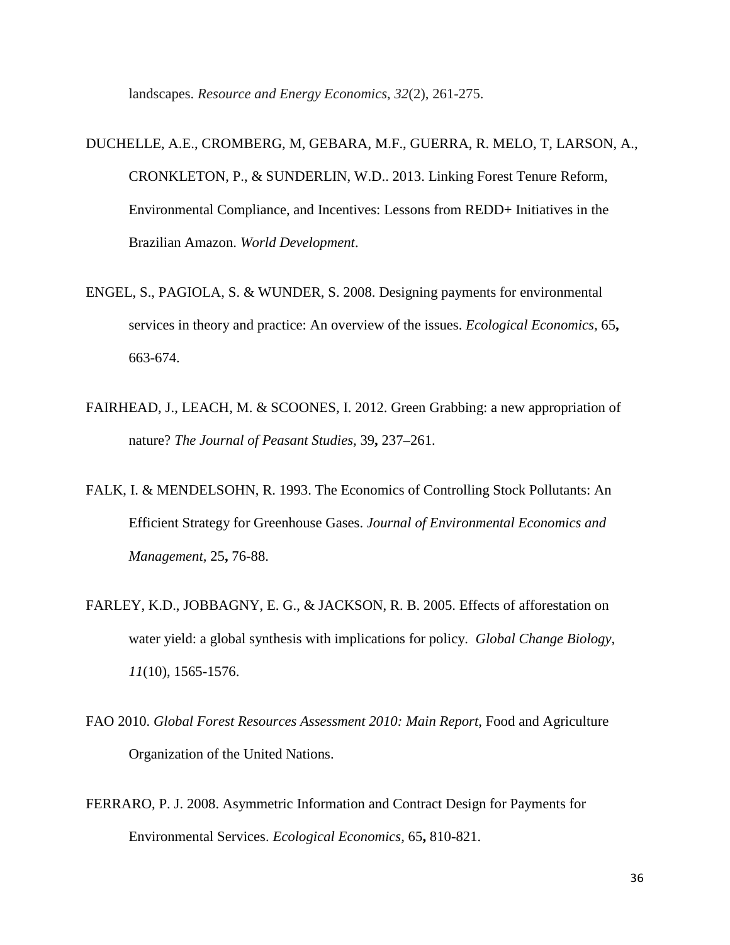landscapes. *Resource and Energy Economics*, *32*(2), 261-275.

- DUCHELLE, A.E., CROMBERG, M, GEBARA, M.F., GUERRA, R. MELO, T, LARSON, A., CRONKLETON, P., & SUNDERLIN, W.D.. 2013. Linking Forest Tenure Reform, Environmental Compliance, and Incentives: Lessons from REDD+ Initiatives in the Brazilian Amazon. *World Development*.
- ENGEL, S., PAGIOLA, S. & WUNDER, S. 2008. Designing payments for environmental services in theory and practice: An overview of the issues. *Ecological Economics,* 65**,** 663-674.
- FAIRHEAD, J., LEACH, M. & SCOONES, I. 2012. Green Grabbing: a new appropriation of nature? *The Journal of Peasant Studies,* 39**,** 237–261.
- FALK, I. & MENDELSOHN, R. 1993. The Economics of Controlling Stock Pollutants: An Efficient Strategy for Greenhouse Gases. *Journal of Environmental Economics and Management,* 25**,** 76-88.
- FARLEY, K.D., JOBBAGNY, E. G., & JACKSON, R. B. 2005. Effects of afforestation on water yield: a global synthesis with implications for policy. *Global Change Biology*, *11*(10), 1565-1576.
- FAO 2010. *Global Forest Resources Assessment 2010: Main Report*, Food and Agriculture Organization of the United Nations.
- FERRARO, P. J. 2008. Asymmetric Information and Contract Design for Payments for Environmental Services. *Ecological Economics,* 65**,** 810-821.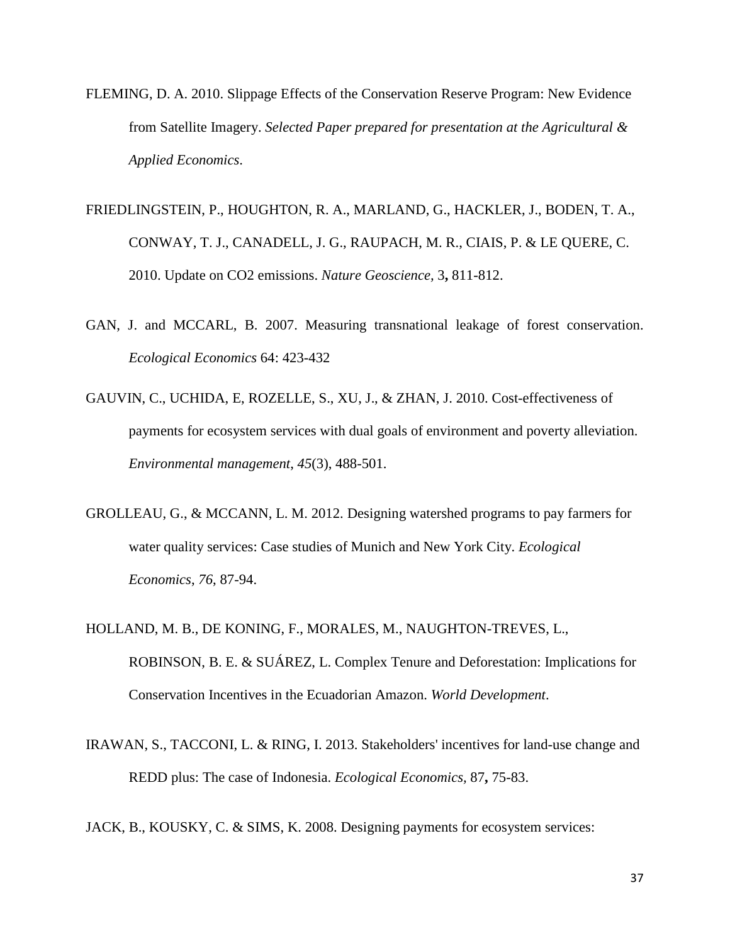- FLEMING, D. A. 2010. Slippage Effects of the Conservation Reserve Program: New Evidence from Satellite Imagery. *Selected Paper prepared for presentation at the Agricultural & Applied Economics*.
- FRIEDLINGSTEIN, P., HOUGHTON, R. A., MARLAND, G., HACKLER, J., BODEN, T. A., CONWAY, T. J., CANADELL, J. G., RAUPACH, M. R., CIAIS, P. & LE QUERE, C. 2010. Update on CO2 emissions. *Nature Geoscience,* 3**,** 811-812.
- GAN, J. and MCCARL, B. 2007. Measuring transnational leakage of forest conservation. *Ecological Economics* 64: 423-432
- GAUVIN, C., UCHIDA, E, ROZELLE, S., XU, J., & ZHAN, J. 2010. Cost-effectiveness of payments for ecosystem services with dual goals of environment and poverty alleviation. *Environmental management*, *45*(3), 488-501.
- GROLLEAU, G., & MCCANN, L. M. 2012. Designing watershed programs to pay farmers for water quality services: Case studies of Munich and New York City. *Ecological Economics*, *76*, 87-94.
- HOLLAND, M. B., DE KONING, F., MORALES, M., NAUGHTON-TREVES, L., ROBINSON, B. E. & SUÁREZ, L. Complex Tenure and Deforestation: Implications for Conservation Incentives in the Ecuadorian Amazon. *World Development*.
- IRAWAN, S., TACCONI, L. & RING, I. 2013. Stakeholders' incentives for land-use change and REDD plus: The case of Indonesia. *Ecological Economics,* 87**,** 75-83.
- JACK, B., KOUSKY, C. & SIMS, K. 2008. Designing payments for ecosystem services: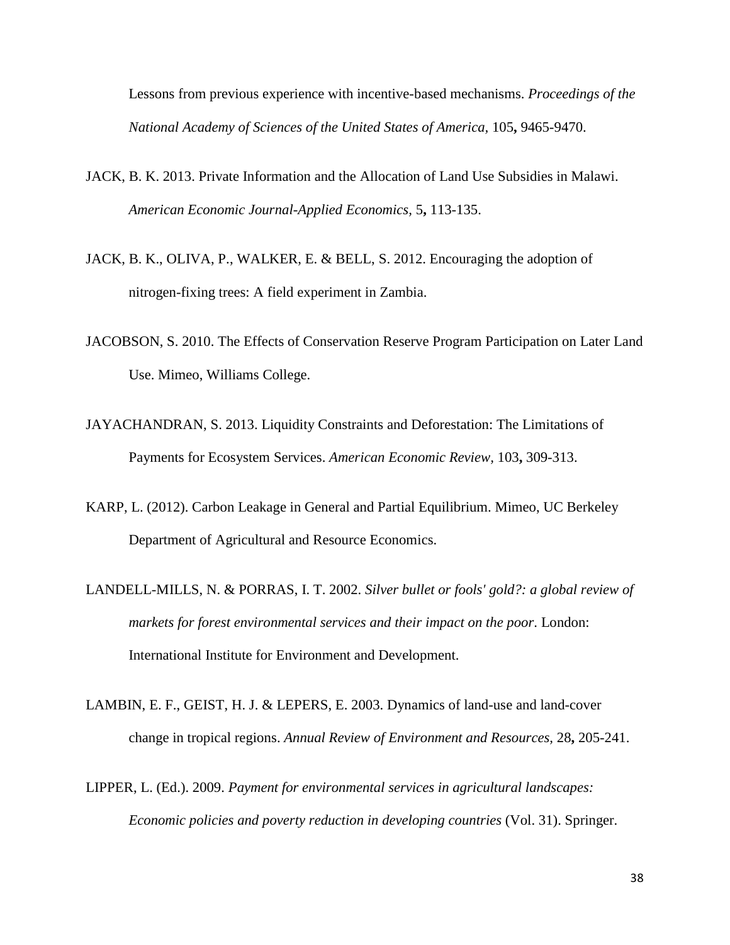Lessons from previous experience with incentive-based mechanisms. *Proceedings of the National Academy of Sciences of the United States of America,* 105**,** 9465-9470.

- JACK, B. K. 2013. Private Information and the Allocation of Land Use Subsidies in Malawi. *American Economic Journal-Applied Economics,* 5**,** 113-135.
- JACK, B. K., OLIVA, P., WALKER, E. & BELL, S. 2012. Encouraging the adoption of nitrogen-fixing trees: A field experiment in Zambia.
- JACOBSON, S. 2010. The Effects of Conservation Reserve Program Participation on Later Land Use. Mimeo, Williams College.
- JAYACHANDRAN, S. 2013. Liquidity Constraints and Deforestation: The Limitations of Payments for Ecosystem Services. *American Economic Review,* 103**,** 309-313.
- KARP, L. (2012). Carbon Leakage in General and Partial Equilibrium. Mimeo, UC Berkeley Department of Agricultural and Resource Economics.
- LANDELL-MILLS, N. & PORRAS, I. T. 2002. *Silver bullet or fools' gold?: a global review of markets for forest environmental services and their impact on the poor*. London: International Institute for Environment and Development.
- LAMBIN, E. F., GEIST, H. J. & LEPERS, E. 2003. Dynamics of land-use and land-cover change in tropical regions. *Annual Review of Environment and Resources,* 28**,** 205-241.
- LIPPER, L. (Ed.). 2009. *Payment for environmental services in agricultural landscapes: Economic policies and poverty reduction in developing countries* (Vol. 31). Springer.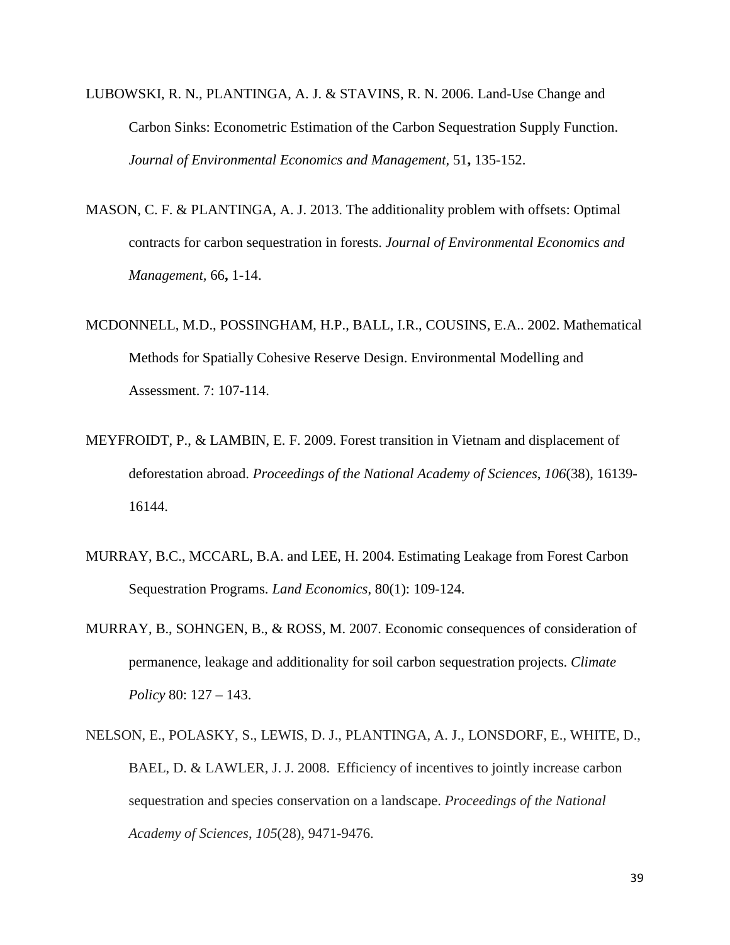- LUBOWSKI, R. N., PLANTINGA, A. J. & STAVINS, R. N. 2006. Land-Use Change and Carbon Sinks: Econometric Estimation of the Carbon Sequestration Supply Function. *Journal of Environmental Economics and Management,* 51**,** 135-152.
- MASON, C. F. & PLANTINGA, A. J. 2013. The additionality problem with offsets: Optimal contracts for carbon sequestration in forests. *Journal of Environmental Economics and Management,* 66**,** 1-14.
- MCDONNELL, M.D., POSSINGHAM, H.P., BALL, I.R., COUSINS, E.A.. 2002. Mathematical Methods for Spatially Cohesive Reserve Design. Environmental Modelling and Assessment. 7: 107-114.
- MEYFROIDT, P., & LAMBIN, E. F. 2009. Forest transition in Vietnam and displacement of deforestation abroad. *Proceedings of the National Academy of Sciences*, *106*(38), 16139- 16144.
- MURRAY, B.C., MCCARL, B.A. and LEE, H. 2004. Estimating Leakage from Forest Carbon Sequestration Programs. *Land Economics*, 80(1): 109-124.
- MURRAY, B., SOHNGEN, B., & ROSS, M. 2007. Economic consequences of consideration of permanence, leakage and additionality for soil carbon sequestration projects. *Climate Policy* 80: 127 – 143.
- NELSON, E., POLASKY, S., LEWIS, D. J., PLANTINGA, A. J., LONSDORF, E., WHITE, D., BAEL, D. & LAWLER, J. J. 2008. Efficiency of incentives to jointly increase carbon sequestration and species conservation on a landscape. *Proceedings of the National Academy of Sciences*, *105*(28), 9471-9476.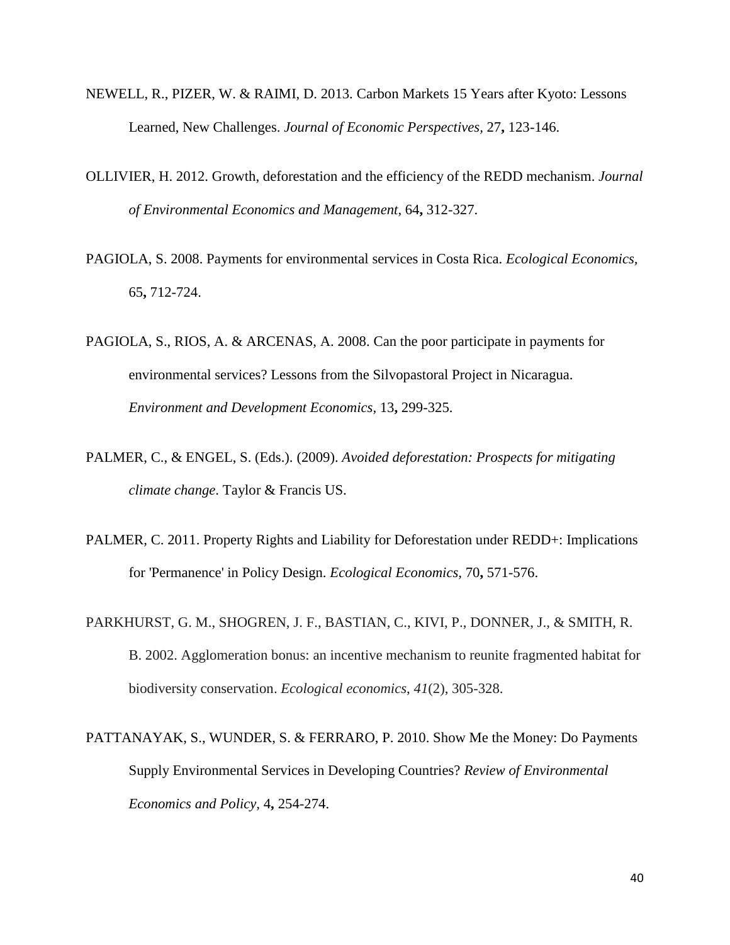- NEWELL, R., PIZER, W. & RAIMI, D. 2013. Carbon Markets 15 Years after Kyoto: Lessons Learned, New Challenges. *Journal of Economic Perspectives,* 27**,** 123-146.
- OLLIVIER, H. 2012. Growth, deforestation and the efficiency of the REDD mechanism. *Journal of Environmental Economics and Management,* 64**,** 312-327.
- PAGIOLA, S. 2008. Payments for environmental services in Costa Rica. *Ecological Economics,* 65**,** 712-724.
- PAGIOLA, S., RIOS, A. & ARCENAS, A. 2008. Can the poor participate in payments for environmental services? Lessons from the Silvopastoral Project in Nicaragua. *Environment and Development Economics,* 13**,** 299-325.
- PALMER, C., & ENGEL, S. (Eds.). (2009). *Avoided deforestation: Prospects for mitigating climate change*. Taylor & Francis US.
- PALMER, C. 2011. Property Rights and Liability for Deforestation under REDD+: Implications for 'Permanence' in Policy Design. *Ecological Economics,* 70**,** 571-576.
- PARKHURST, G. M., SHOGREN, J. F., BASTIAN, C., KIVI, P., DONNER, J., & SMITH, R. B. 2002. Agglomeration bonus: an incentive mechanism to reunite fragmented habitat for biodiversity conservation. *Ecological economics*, *41*(2), 305-328.
- PATTANAYAK, S., WUNDER, S. & FERRARO, P. 2010. Show Me the Money: Do Payments Supply Environmental Services in Developing Countries? *Review of Environmental Economics and Policy,* 4**,** 254-274.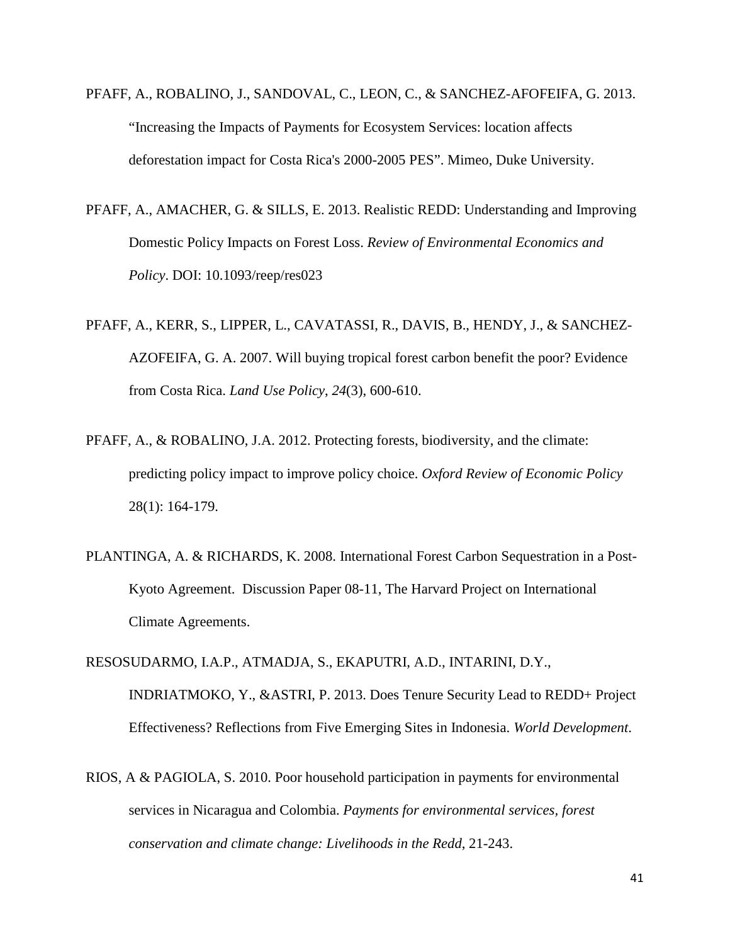- PFAFF, A., ROBALINO, J., SANDOVAL, C., LEON, C., & SANCHEZ-AFOFEIFA, G. 2013. "Increasing the Impacts of Payments for Ecosystem Services: location affects deforestation impact for Costa Rica's 2000-2005 PES". Mimeo, Duke University.
- PFAFF, A., AMACHER, G. & SILLS, E. 2013. Realistic REDD: Understanding and Improving Domestic Policy Impacts on Forest Loss. *Review of Environmental Economics and Policy*. DOI: 10.1093/reep/res023
- PFAFF, A., KERR, S., LIPPER, L., CAVATASSI, R., DAVIS, B., HENDY, J., & SANCHEZ-AZOFEIFA, G. A. 2007. Will buying tropical forest carbon benefit the poor? Evidence from Costa Rica. *Land Use Policy*, *24*(3), 600-610.
- PFAFF, A., & ROBALINO, J.A. 2012. Protecting forests, biodiversity, and the climate: predicting policy impact to improve policy choice. *Oxford Review of Economic Policy* 28(1): 164-179.
- PLANTINGA, A. & RICHARDS, K. 2008. International Forest Carbon Sequestration in a Post-Kyoto Agreement. Discussion Paper 08-11, The Harvard Project on International Climate Agreements.

RESOSUDARMO, I.A.P., ATMADJA, S., EKAPUTRI, A.D., INTARINI, D.Y., INDRIATMOKO, Y., &ASTRI, P. 2013. Does Tenure Security Lead to REDD+ Project Effectiveness? Reflections from Five Emerging Sites in Indonesia. *World Development*.

RIOS, A & PAGIOLA, S. 2010. Poor household participation in payments for environmental services in Nicaragua and Colombia. *Payments for environmental services, forest conservation and climate change: Livelihoods in the Redd*, 21-243.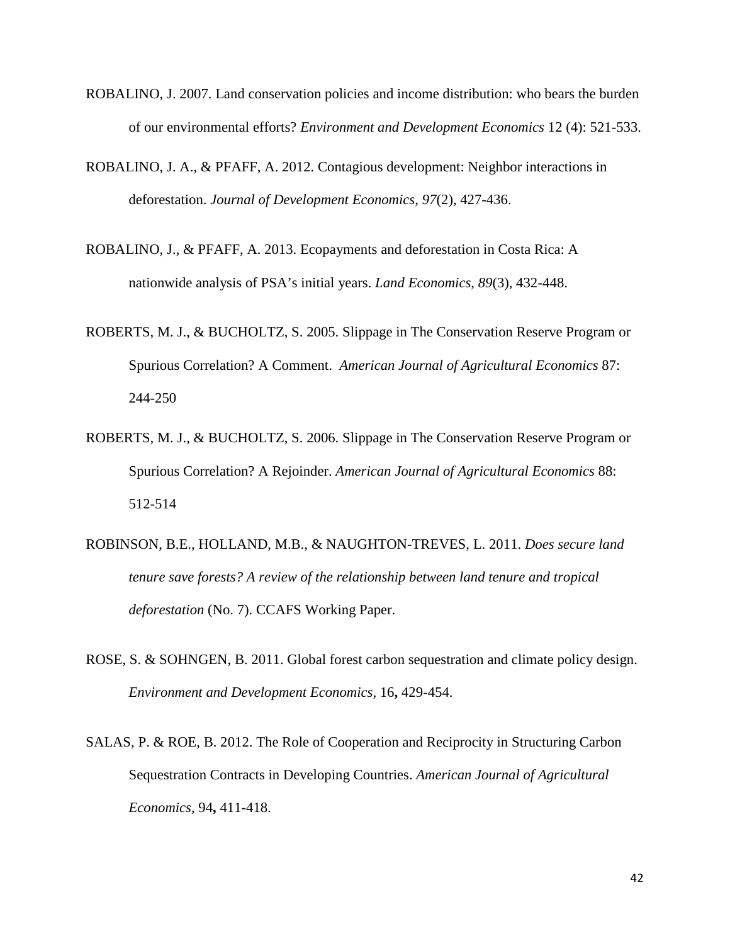- ROBALINO, J. 2007. Land conservation policies and income distribution: who bears the burden of our environmental efforts? *Environment and Development Economics* 12 (4): 521-533.
- ROBALINO, J. A., & PFAFF, A. 2012. Contagious development: Neighbor interactions in deforestation. *Journal of Development Economics*, *97*(2), 427-436.
- ROBALINO, J., & PFAFF, A. 2013. Ecopayments and deforestation in Costa Rica: A nationwide analysis of PSA's initial years. *Land Economics*, *89*(3), 432-448.
- ROBERTS, M. J., & BUCHOLTZ, S. 2005. Slippage in The Conservation Reserve Program or Spurious Correlation? A Comment. *American Journal of Agricultural Economics* 87: 244-250
- ROBERTS, M. J., & BUCHOLTZ, S. 2006. Slippage in The Conservation Reserve Program or Spurious Correlation? A Rejoinder. *American Journal of Agricultural Economics* 88: 512-514
- ROBINSON, B.E., HOLLAND, M.B., & NAUGHTON-TREVES, L. 2011. *Does secure land tenure save forests? A review of the relationship between land tenure and tropical deforestation* (No. 7). CCAFS Working Paper.
- ROSE, S. & SOHNGEN, B. 2011. Global forest carbon sequestration and climate policy design. *Environment and Development Economics,* 16**,** 429-454.
- SALAS, P. & ROE, B. 2012. The Role of Cooperation and Reciprocity in Structuring Carbon Sequestration Contracts in Developing Countries. *American Journal of Agricultural Economics,* 94**,** 411-418.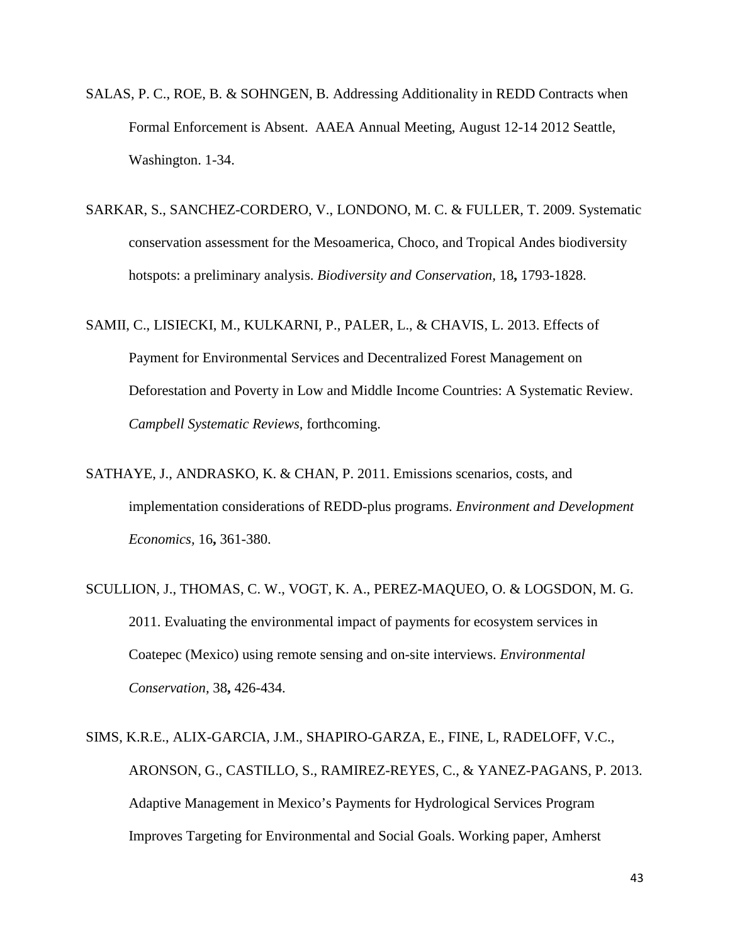- SALAS, P. C., ROE, B. & SOHNGEN, B. Addressing Additionality in REDD Contracts when Formal Enforcement is Absent. AAEA Annual Meeting, August 12-14 2012 Seattle, Washington. 1-34.
- SARKAR, S., SANCHEZ-CORDERO, V., LONDONO, M. C. & FULLER, T. 2009. Systematic conservation assessment for the Mesoamerica, Choco, and Tropical Andes biodiversity hotspots: a preliminary analysis. *Biodiversity and Conservation,* 18**,** 1793-1828.
- SAMII, C., LISIECKI, M., KULKARNI, P., PALER, L., & CHAVIS, L. 2013. Effects of Payment for Environmental Services and Decentralized Forest Management on Deforestation and Poverty in Low and Middle Income Countries: A Systematic Review. *Campbell Systematic Reviews,* forthcoming.
- SATHAYE, J., ANDRASKO, K. & CHAN, P. 2011. Emissions scenarios, costs, and implementation considerations of REDD-plus programs. *Environment and Development Economics,* 16**,** 361-380.
- SCULLION, J., THOMAS, C. W., VOGT, K. A., PEREZ-MAQUEO, O. & LOGSDON, M. G. 2011. Evaluating the environmental impact of payments for ecosystem services in Coatepec (Mexico) using remote sensing and on-site interviews. *Environmental Conservation,* 38**,** 426-434.
- SIMS, K.R.E., ALIX-GARCIA, J.M., SHAPIRO-GARZA, E., FINE, L, RADELOFF, V.C., ARONSON, G., CASTILLO, S., RAMIREZ-REYES, C., & YANEZ-PAGANS, P. 2013. Adaptive Management in Mexico's Payments for Hydrological Services Program Improves Targeting for Environmental and Social Goals. Working paper, Amherst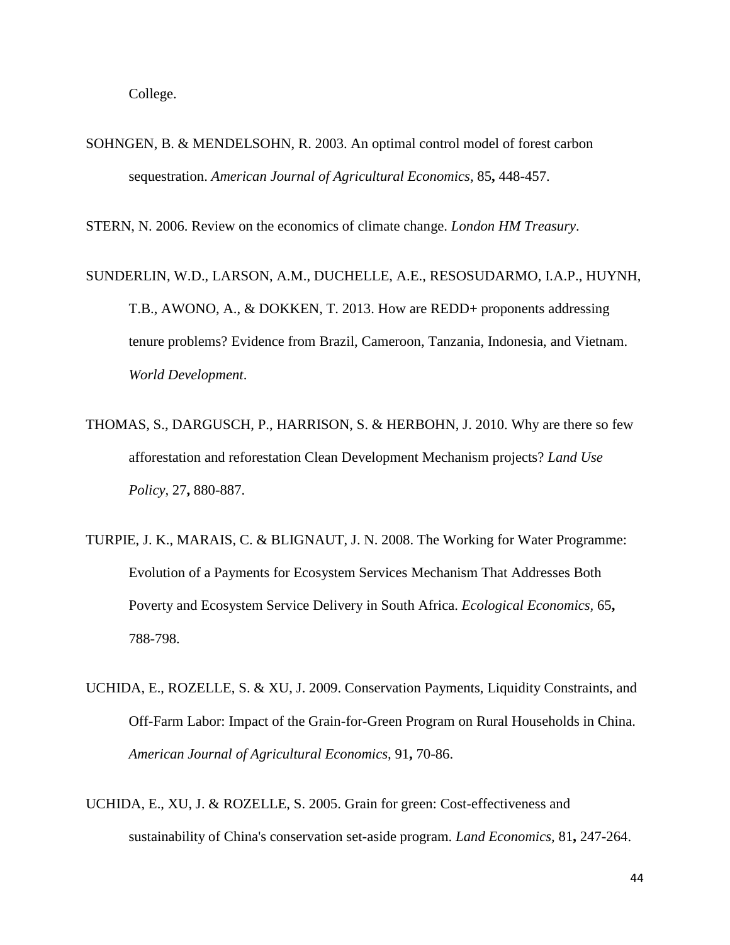College.

SOHNGEN, B. & MENDELSOHN, R. 2003. An optimal control model of forest carbon sequestration. *American Journal of Agricultural Economics,* 85**,** 448-457.

STERN, N. 2006. Review on the economics of climate change. *London HM Treasury*.

- SUNDERLIN, W.D., LARSON, A.M., DUCHELLE, A.E., RESOSUDARMO, I.A.P., HUYNH, T.B., AWONO, A., & DOKKEN, T. 2013. How are REDD+ proponents addressing tenure problems? Evidence from Brazil, Cameroon, Tanzania, Indonesia, and Vietnam. *World Development*.
- THOMAS, S., DARGUSCH, P., HARRISON, S. & HERBOHN, J. 2010. Why are there so few afforestation and reforestation Clean Development Mechanism projects? *Land Use Policy,* 27**,** 880-887.
- TURPIE, J. K., MARAIS, C. & BLIGNAUT, J. N. 2008. The Working for Water Programme: Evolution of a Payments for Ecosystem Services Mechanism That Addresses Both Poverty and Ecosystem Service Delivery in South Africa. *Ecological Economics,* 65**,** 788-798.
- UCHIDA, E., ROZELLE, S. & XU, J. 2009. Conservation Payments, Liquidity Constraints, and Off-Farm Labor: Impact of the Grain-for-Green Program on Rural Households in China. *American Journal of Agricultural Economics,* 91**,** 70-86.
- UCHIDA, E., XU, J. & ROZELLE, S. 2005. Grain for green: Cost-effectiveness and sustainability of China's conservation set-aside program. *Land Economics,* 81**,** 247-264.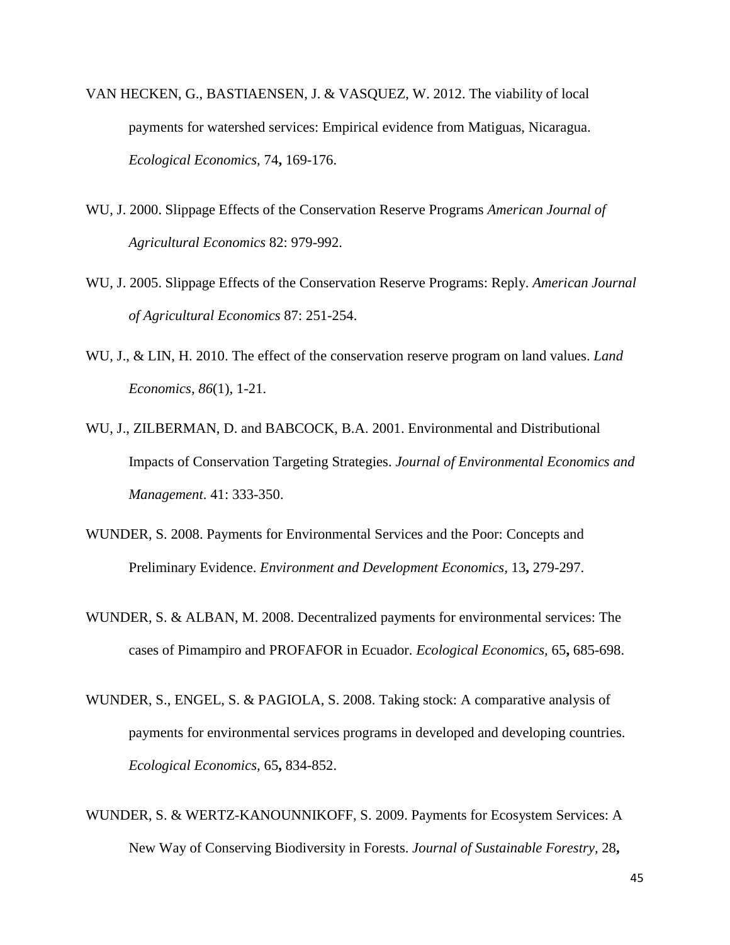- VAN HECKEN, G., BASTIAENSEN, J. & VASQUEZ, W. 2012. The viability of local payments for watershed services: Empirical evidence from Matiguas, Nicaragua. *Ecological Economics,* 74**,** 169-176.
- WU, J. 2000. Slippage Effects of the Conservation Reserve Programs *American Journal of Agricultural Economics* 82: 979-992.
- WU, J. 2005. Slippage Effects of the Conservation Reserve Programs: Reply. *American Journal of Agricultural Economics* 87: 251-254.
- WU, J., & LIN, H. 2010. The effect of the conservation reserve program on land values. *Land Economics*, *86*(1), 1-21.
- WU, J., ZILBERMAN, D. and BABCOCK, B.A. 2001. Environmental and Distributional Impacts of Conservation Targeting Strategies. *Journal of Environmental Economics and Management*. 41: 333-350.
- WUNDER, S. 2008. Payments for Environmental Services and the Poor: Concepts and Preliminary Evidence. *Environment and Development Economics,* 13**,** 279-297.
- WUNDER, S. & ALBAN, M. 2008. Decentralized payments for environmental services: The cases of Pimampiro and PROFAFOR in Ecuador. *Ecological Economics,* 65**,** 685-698.
- WUNDER, S., ENGEL, S. & PAGIOLA, S. 2008. Taking stock: A comparative analysis of payments for environmental services programs in developed and developing countries. *Ecological Economics,* 65**,** 834-852.
- WUNDER, S. & WERTZ-KANOUNNIKOFF, S. 2009. Payments for Ecosystem Services: A New Way of Conserving Biodiversity in Forests. *Journal of Sustainable Forestry,* 28**,**